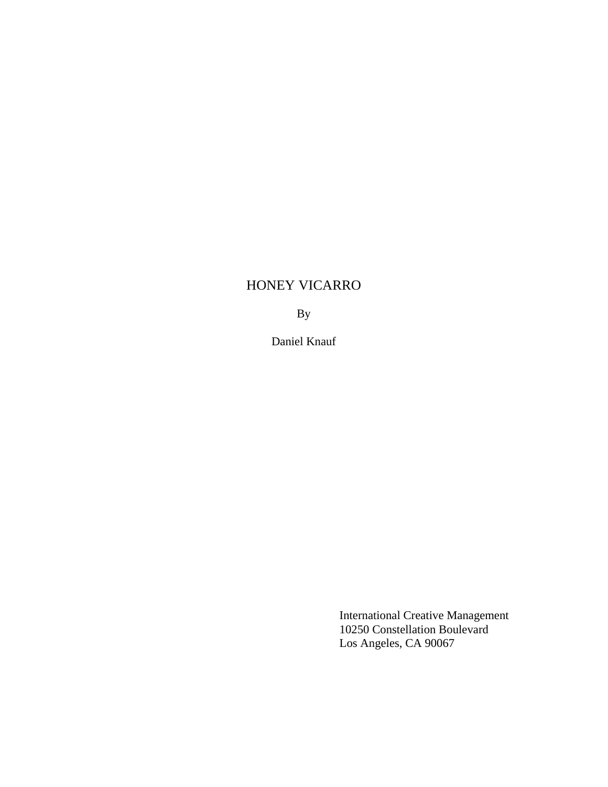# HONEY VICARRO

By

Daniel Knauf

International Creative Management 10250 Constellation Boulevard Los Angeles, CA 90067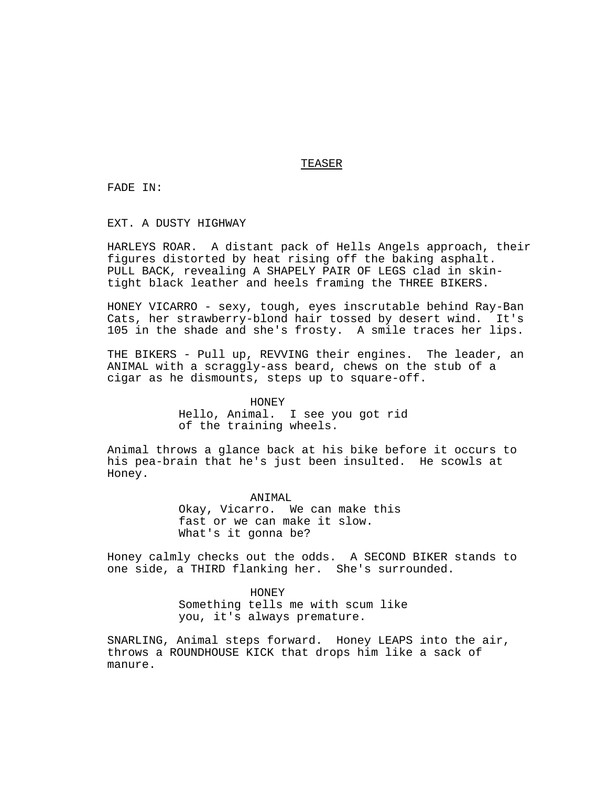# TEASER

FADE IN:

EXT. A DUSTY HIGHWAY

HARLEYS ROAR. A distant pack of Hells Angels approach, their figures distorted by heat rising off the baking asphalt. PULL BACK, revealing A SHAPELY PAIR OF LEGS clad in skintight black leather and heels framing the THREE BIKERS.

HONEY VICARRO - sexy, tough, eyes inscrutable behind Ray-Ban Cats, her strawberry-blond hair tossed by desert wind. It's 105 in the shade and she's frosty. A smile traces her lips.

THE BIKERS - Pull up, REVVING their engines. The leader, an ANIMAL with a scraggly-ass beard, chews on the stub of a cigar as he dismounts, steps up to square-off.

> HONEY Hello, Animal. I see you got rid of the training wheels.

Animal throws a glance back at his bike before it occurs to his pea-brain that he's just been insulted. He scowls at Honey.

> ANIMAL Okay, Vicarro. We can make this fast or we can make it slow. What's it gonna be?

Honey calmly checks out the odds. A SECOND BIKER stands to one side, a THIRD flanking her. She's surrounded.

> HONEY Something tells me with scum like you, it's always premature.

SNARLING, Animal steps forward. Honey LEAPS into the air, throws a ROUNDHOUSE KICK that drops him like a sack of manure.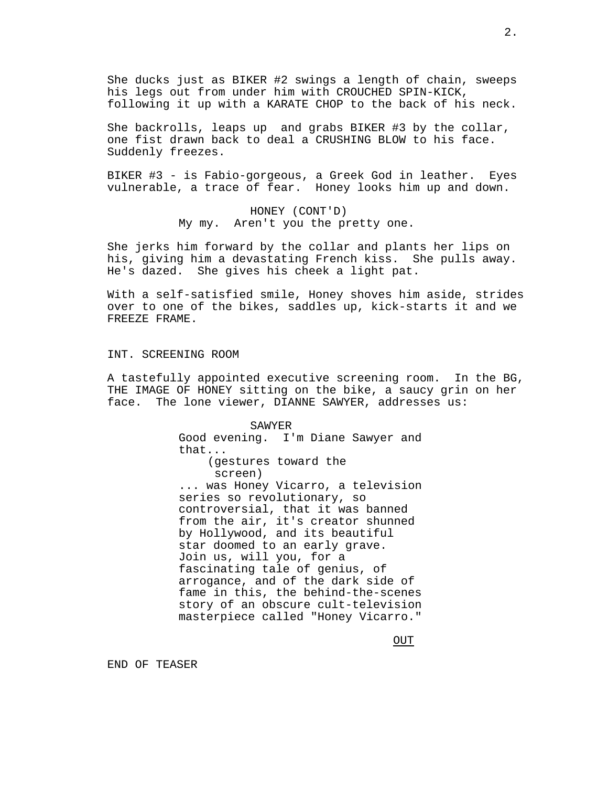She ducks just as BIKER #2 swings a length of chain, sweeps his legs out from under him with CROUCHED SPIN-KICK, following it up with a KARATE CHOP to the back of his neck.

She backrolls, leaps up and grabs BIKER #3 by the collar, one fist drawn back to deal a CRUSHING BLOW to his face. Suddenly freezes.

BIKER #3 - is Fabio-gorgeous, a Greek God in leather. Eyes vulnerable, a trace of fear. Honey looks him up and down.

> HONEY (CONT'D) My my. Aren't you the pretty one.

She jerks him forward by the collar and plants her lips on his, giving him a devastating French kiss. She pulls away. He's dazed. She gives his cheek a light pat.

With a self-satisfied smile, Honey shoves him aside, strides over to one of the bikes, saddles up, kick-starts it and we FREEZE FRAME.

INT. SCREENING ROOM

A tastefully appointed executive screening room. In the BG, THE IMAGE OF HONEY sitting on the bike, a saucy grin on her face. The lone viewer, DIANNE SAWYER, addresses us:

> SAWYER Good evening. I'm Diane Sawyer and that... (gestures toward the screen) ... was Honey Vicarro, a television series so revolutionary, so controversial, that it was banned from the air, it's creator shunned by Hollywood, and its beautiful star doomed to an early grave. Join us, will you, for a fascinating tale of genius, of arrogance, and of the dark side of fame in this, the behind-the-scenes story of an obscure cult-television masterpiece called "Honey Vicarro."

> > OUT

END OF TEASER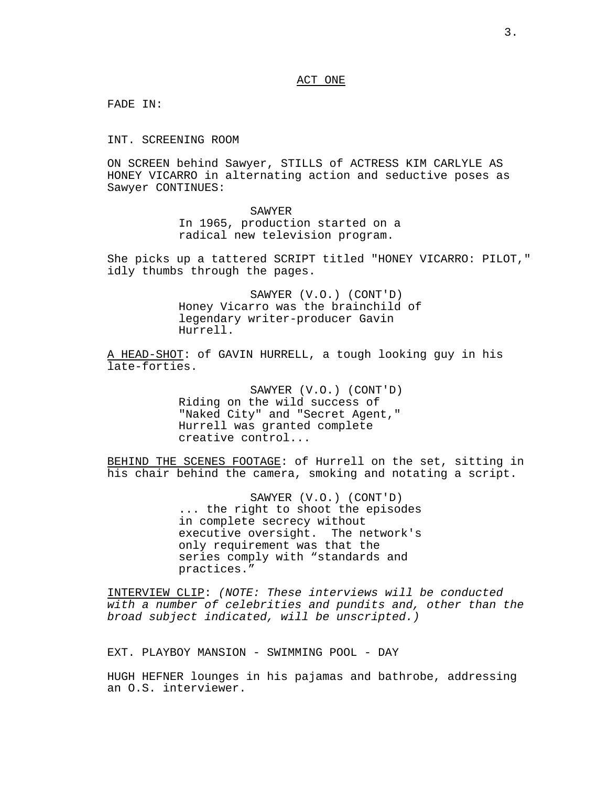#### ACT ONE

FADE IN:

INT. SCREENING ROOM

ON SCREEN behind Sawyer, STILLS of ACTRESS KIM CARLYLE AS HONEY VICARRO in alternating action and seductive poses as Sawyer CONTINUES:

#### SAWYER

In 1965, production started on a radical new television program.

She picks up a tattered SCRIPT titled "HONEY VICARRO: PILOT," idly thumbs through the pages.

> SAWYER (V.O.) (CONT'D) Honey Vicarro was the brainchild of legendary writer-producer Gavin Hurrell.

A HEAD-SHOT: of GAVIN HURRELL, a tough looking guy in his late-forties.

> SAWYER (V.O.) (CONT'D) Riding on the wild success of "Naked City" and "Secret Agent," Hurrell was granted complete creative control...

BEHIND THE SCENES FOOTAGE: of Hurrell on the set, sitting in his chair behind the camera, smoking and notating a script.

> SAWYER (V.O.) (CONT'D) ... the right to shoot the episodes in complete secrecy without executive oversight. The network's only requirement was that the series comply with "standards and practices."

INTERVIEW CLIP: (NOTE: These interviews will be conducted with a number of celebrities and pundits and, other than the broad subject indicated, will be unscripted.)

EXT. PLAYBOY MANSION - SWIMMING POOL - DAY

HUGH HEFNER lounges in his pajamas and bathrobe, addressing an O.S. interviewer.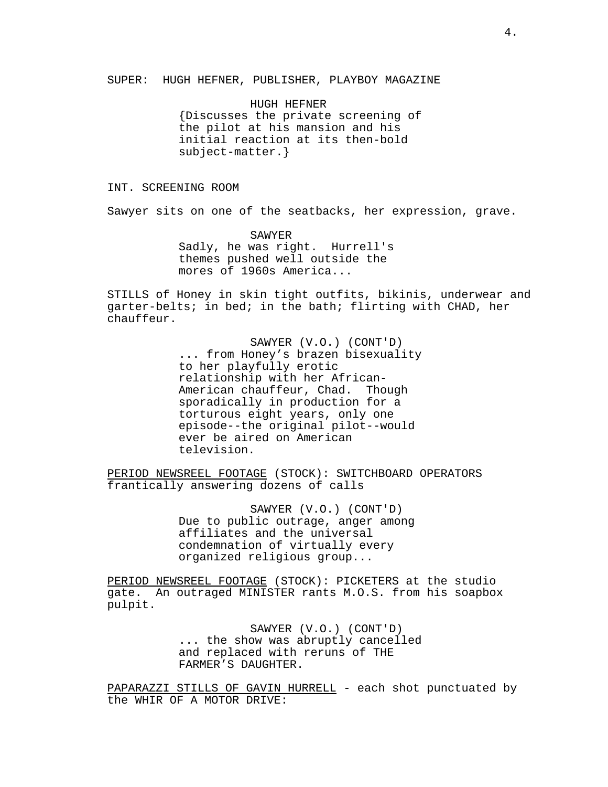SUPER: HUGH HEFNER, PUBLISHER, PLAYBOY MAGAZINE

HUGH HEFNER {Discusses the private screening of the pilot at his mansion and his initial reaction at its then-bold subject-matter.}

INT. SCREENING ROOM

Sawyer sits on one of the seatbacks, her expression, grave.

SAWYER Sadly, he was right. Hurrell's themes pushed well outside the mores of 1960s America...

STILLS of Honey in skin tight outfits, bikinis, underwear and garter-belts; in bed; in the bath; flirting with CHAD, her chauffeur.

> SAWYER (V.O.) (CONT'D) ... from Honey's brazen bisexuality to her playfully erotic relationship with her African-American chauffeur, Chad. Though sporadically in production for a torturous eight years, only one episode--the original pilot--would ever be aired on American television.

PERIOD NEWSREEL FOOTAGE (STOCK): SWITCHBOARD OPERATORS frantically answering dozens of calls

> SAWYER (V.O.) (CONT'D) Due to public outrage, anger among affiliates and the universal condemnation of virtually every organized religious group...

PERIOD NEWSREEL FOOTAGE (STOCK): PICKETERS at the studio gate. An outraged MINISTER rants M.O.S. from his soapbox pulpit.

> SAWYER (V.O.) (CONT'D) ... the show was abruptly cancelled and replaced with reruns of THE FARMER'S DAUGHTER.

PAPARAZZI STILLS OF GAVIN HURRELL - each shot punctuated by the WHIR OF A MOTOR DRIVE: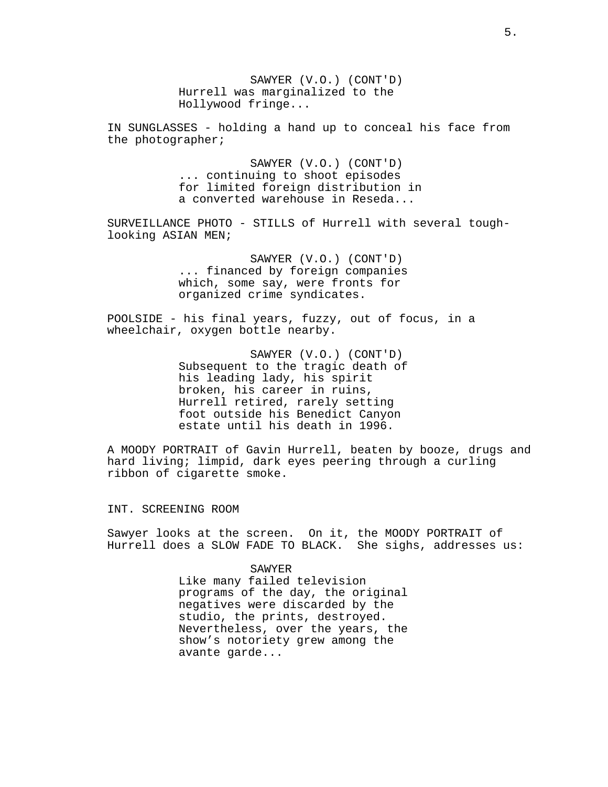SAWYER (V.O.) (CONT'D) Hurrell was marginalized to the Hollywood fringe...

IN SUNGLASSES - holding a hand up to conceal his face from the photographer;

> SAWYER (V.O.) (CONT'D) ... continuing to shoot episodes for limited foreign distribution in a converted warehouse in Reseda...

SURVEILLANCE PHOTO - STILLS of Hurrell with several toughlooking ASIAN MEN;

> SAWYER (V.O.) (CONT'D) ... financed by foreign companies which, some say, were fronts for organized crime syndicates.

POOLSIDE - his final years, fuzzy, out of focus, in a wheelchair, oxygen bottle nearby.

> SAWYER (V.O.) (CONT'D) Subsequent to the tragic death of his leading lady, his spirit broken, his career in ruins, Hurrell retired, rarely setting foot outside his Benedict Canyon estate until his death in 1996.

A MOODY PORTRAIT of Gavin Hurrell, beaten by booze, drugs and hard living; limpid, dark eyes peering through a curling ribbon of cigarette smoke.

INT. SCREENING ROOM

Sawyer looks at the screen. On it, the MOODY PORTRAIT of Hurrell does a SLOW FADE TO BLACK. She sighs, addresses us:

#### SAWYER

Like many failed television programs of the day, the original negatives were discarded by the studio, the prints, destroyed. Nevertheless, over the years, the show's notoriety grew among the avante garde...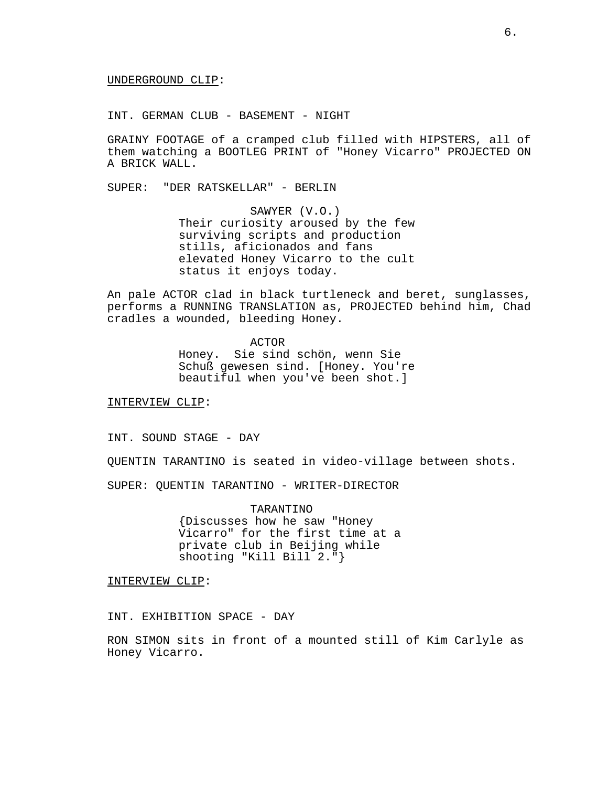UNDERGROUND CLIP:

INT. GERMAN CLUB - BASEMENT - NIGHT

GRAINY FOOTAGE of a cramped club filled with HIPSTERS, all of them watching a BOOTLEG PRINT of "Honey Vicarro" PROJECTED ON A BRICK WALL.

SUPER: "DER RATSKELLAR" - BERLIN

SAWYER (V.O.) Their curiosity aroused by the few surviving scripts and production stills, aficionados and fans elevated Honey Vicarro to the cult status it enjoys today.

An pale ACTOR clad in black turtleneck and beret, sunglasses, performs a RUNNING TRANSLATION as, PROJECTED behind him, Chad cradles a wounded, bleeding Honey.

ACTOR

Honey. Sie sind schön, wenn Sie Schuß gewesen sind. [Honey. You're beautiful when you've been shot.]

INTERVIEW CLIP:

INT. SOUND STAGE - DAY

QUENTIN TARANTINO is seated in video-village between shots.

SUPER: QUENTIN TARANTINO - WRITER-DIRECTOR

TARANTINO {Discusses how he saw "Honey Vicarro" for the first time at a private club in Beijing while shooting "Kill Bill 2."}

INTERVIEW CLIP:

INT. EXHIBITION SPACE - DAY

RON SIMON sits in front of a mounted still of Kim Carlyle as Honey Vicarro.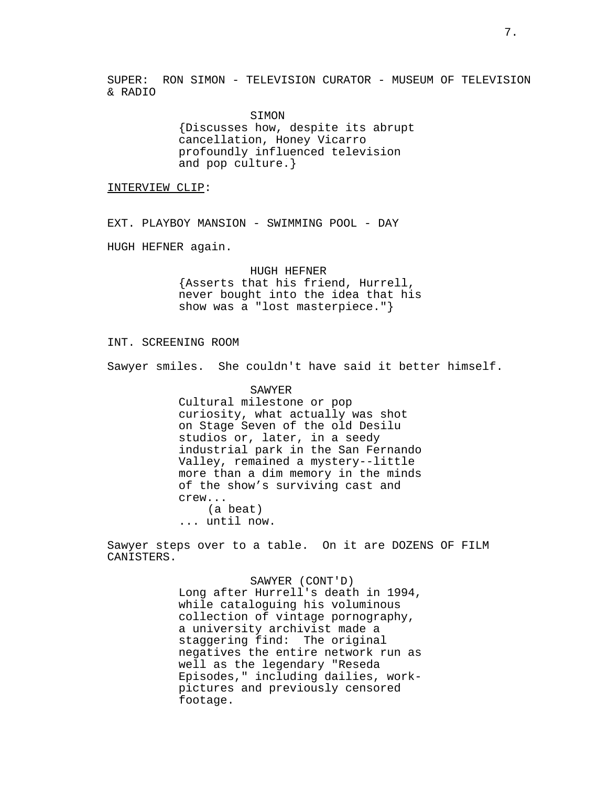SUPER: RON SIMON - TELEVISION CURATOR - MUSEUM OF TELEVISION & RADIO

> SIMON {Discusses how, despite its abrupt cancellation, Honey Vicarro profoundly influenced television and pop culture.}

INTERVIEW CLIP:

EXT. PLAYBOY MANSION - SWIMMING POOL - DAY

HUGH HEFNER again.

HUGH HEFNER {Asserts that his friend, Hurrell, never bought into the idea that his show was a "lost masterpiece."}

## INT. SCREENING ROOM

Sawyer smiles. She couldn't have said it better himself.

SAWYER Cultural milestone or pop curiosity, what actually was shot on Stage Seven of the old Desilu studios or, later, in a seedy industrial park in the San Fernando Valley, remained a mystery--little more than a dim memory in the minds of the show's surviving cast and crew... (a beat) ... until now.

Sawyer steps over to a table. On it are DOZENS OF FILM CANISTERS.

> SAWYER (CONT'D) Long after Hurrell's death in 1994, while cataloguing his voluminous collection of vintage pornography, a university archivist made a staggering find: The original negatives the entire network run as well as the legendary "Reseda Episodes," including dailies, workpictures and previously censored footage.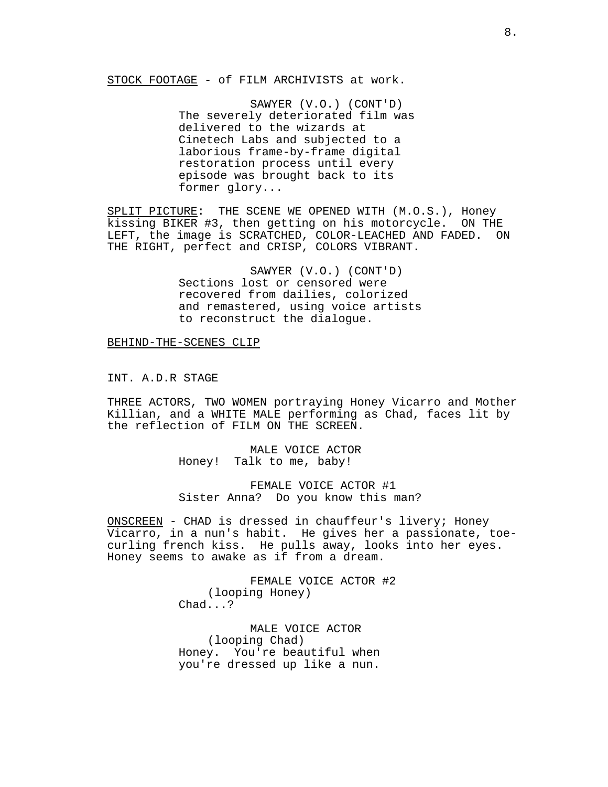STOCK FOOTAGE - of FILM ARCHIVISTS at work.

SAWYER (V.O.) (CONT'D) The severely deteriorated film was delivered to the wizards at Cinetech Labs and subjected to a laborious frame-by-frame digital restoration process until every episode was brought back to its former glory...

SPLIT PICTURE: THE SCENE WE OPENED WITH (M.O.S.), Honey kissing BIKER #3, then getting on his motorcycle. ON THE LEFT, the image is SCRATCHED, COLOR-LEACHED AND FADED. ON THE RIGHT, perfect and CRISP, COLORS VIBRANT.

> SAWYER (V.O.) (CONT'D) Sections lost or censored were recovered from dailies, colorized and remastered, using voice artists to reconstruct the dialogue.

BEHIND-THE-SCENES CLIP

INT. A.D.R STAGE

THREE ACTORS, TWO WOMEN portraying Honey Vicarro and Mother Killian, and a WHITE MALE performing as Chad, faces lit by the reflection of FILM ON THE SCREEN.

> MALE VOICE ACTOR Honey! Talk to me, baby!

FEMALE VOICE ACTOR #1 Sister Anna? Do you know this man?

ONSCREEN - CHAD is dressed in chauffeur's livery; Honey Vicarro, in a nun's habit. He gives her a passionate, toecurling french kiss. He pulls away, looks into her eyes. Honey seems to awake as if from a dream.

> FEMALE VOICE ACTOR #2 (looping Honey) Chad...?

MALE VOICE ACTOR (looping Chad) Honey. You're beautiful when you're dressed up like a nun.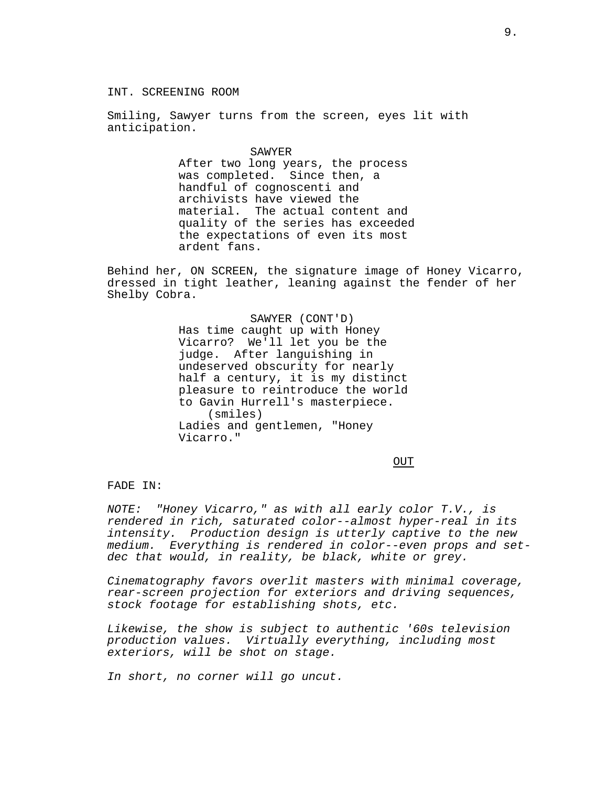## INT. SCREENING ROOM

Smiling, Sawyer turns from the screen, eyes lit with anticipation.

#### SAWYER

After two long years, the process was completed. Since then, a handful of cognoscenti and archivists have viewed the material. The actual content and quality of the series has exceeded the expectations of even its most ardent fans.

Behind her, ON SCREEN, the signature image of Honey Vicarro, dressed in tight leather, leaning against the fender of her Shelby Cobra.

> SAWYER (CONT'D) Has time caught up with Honey Vicarro? We'll let you be the judge. After languishing in undeserved obscurity for nearly half a century, it is my distinct pleasure to reintroduce the world to Gavin Hurrell's masterpiece. (smiles) Ladies and gentlemen, "Honey Vicarro."

> > OUT

# FADE IN:

NOTE: "Honey Vicarro," as with all early color T.V., is rendered in rich, saturated color--almost hyper-real in its intensity. Production design is utterly captive to the new medium. Everything is rendered in color--even props and setdec that would, in reality, be black, white or grey.

Cinematography favors overlit masters with minimal coverage, rear-screen projection for exteriors and driving sequences, stock footage for establishing shots, etc.

Likewise, the show is subject to authentic '60s television production values. Virtually everything, including most exteriors, will be shot on stage.

In short, no corner will go uncut.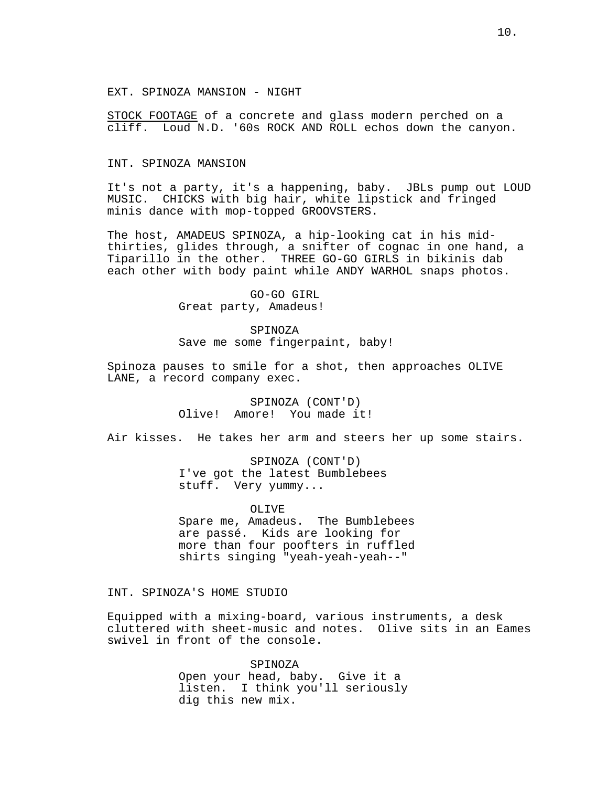## EXT. SPINOZA MANSION - NIGHT

STOCK FOOTAGE of a concrete and glass modern perched on a cliff. Loud N.D. '60s ROCK AND ROLL echos down the canyon.

# INT. SPINOZA MANSION

It's not a party, it's a happening, baby. JBLs pump out LOUD MUSIC. CHICKS with big hair, white lipstick and fringed minis dance with mop-topped GROOVSTERS.

The host, AMADEUS SPINOZA, a hip-looking cat in his midthirties, glides through, a snifter of cognac in one hand, a Tiparillo in the other. THREE GO-GO GIRLS in bikinis dab each other with body paint while ANDY WARHOL snaps photos.

> GO-GO GIRL Great party, Amadeus!

SPINOZA Save me some fingerpaint, baby!

Spinoza pauses to smile for a shot, then approaches OLIVE LANE, a record company exec.

# SPINOZA (CONT'D) Olive! Amore! You made it!

Air kisses. He takes her arm and steers her up some stairs.

SPINOZA (CONT'D) I've got the latest Bumblebees stuff. Very yummy...

OLIVE Spare me, Amadeus. The Bumblebees are passé. Kids are looking for more than four poofters in ruffled shirts singing "yeah-yeah-yeah--"

## INT. SPINOZA'S HOME STUDIO

Equipped with a mixing-board, various instruments, a desk cluttered with sheet-music and notes. Olive sits in an Eames swivel in front of the console.

> SPINOZA Open your head, baby. Give it a listen. I think you'll seriously dig this new mix.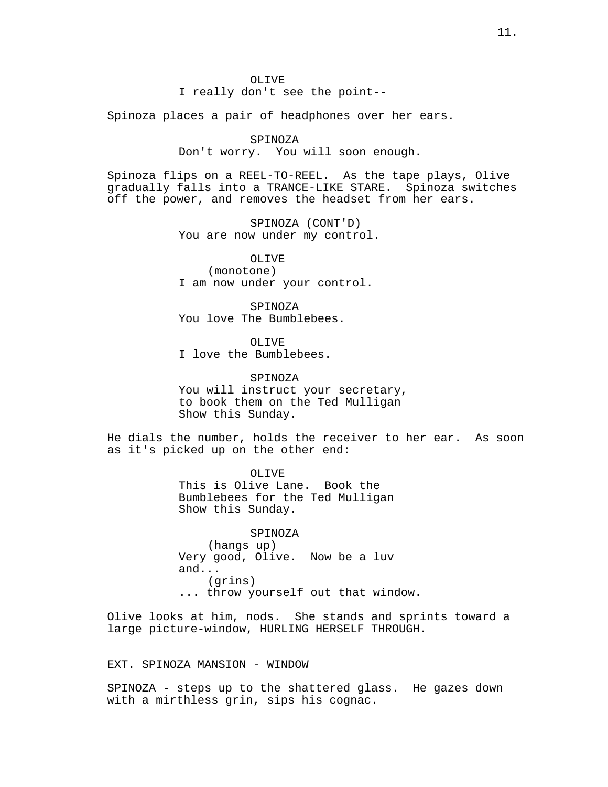I really don't see the point--

Spinoza places a pair of headphones over her ears.

#### SPINOZA

Don't worry. You will soon enough.

Spinoza flips on a REEL-TO-REEL. As the tape plays, Olive gradually falls into a TRANCE-LIKE STARE. Spinoza switches off the power, and removes the headset from her ears.

> SPINOZA (CONT'D) You are now under my control.

OLIVE (monotone) I am now under your control.

SPINOZA You love The Bumblebees.

OLIVE

I love the Bumblebees.

## SPINOZA

You will instruct your secretary, to book them on the Ted Mulligan Show this Sunday.

He dials the number, holds the receiver to her ear. As soon as it's picked up on the other end:

> OLIVE This is Olive Lane. Book the Bumblebees for the Ted Mulligan Show this Sunday.

SPINOZA (hangs up) Very good, Olive. Now be a luv and... (grins) ... throw yourself out that window.

Olive looks at him, nods. She stands and sprints toward a large picture-window, HURLING HERSELF THROUGH.

# EXT. SPINOZA MANSION - WINDOW

SPINOZA - steps up to the shattered glass. He gazes down with a mirthless grin, sips his cognac.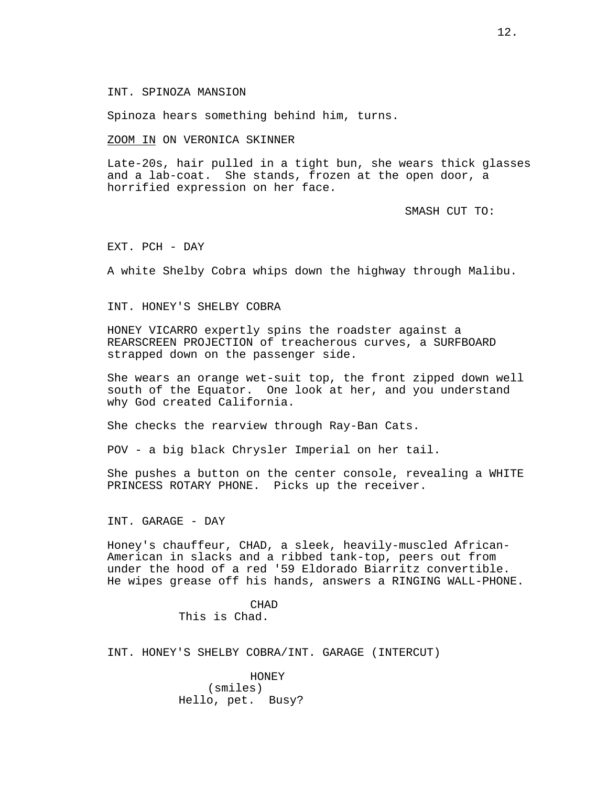## INT. SPINOZA MANSION

Spinoza hears something behind him, turns.

ZOOM IN ON VERONICA SKINNER

Late-20s, hair pulled in a tight bun, she wears thick glasses and a lab-coat. She stands, frozen at the open door, a horrified expression on her face.

SMASH CUT TO:

EXT. PCH - DAY

A white Shelby Cobra whips down the highway through Malibu.

INT. HONEY'S SHELBY COBRA

HONEY VICARRO expertly spins the roadster against a REARSCREEN PROJECTION of treacherous curves, a SURFBOARD strapped down on the passenger side.

She wears an orange wet-suit top, the front zipped down well south of the Equator. One look at her, and you understand why God created California.

She checks the rearview through Ray-Ban Cats.

POV - a big black Chrysler Imperial on her tail.

She pushes a button on the center console, revealing a WHITE PRINCESS ROTARY PHONE. Picks up the receiver.

INT. GARAGE - DAY

Honey's chauffeur, CHAD, a sleek, heavily-muscled African-American in slacks and a ribbed tank-top, peers out from under the hood of a red '59 Eldorado Biarritz convertible. He wipes grease off his hands, answers a RINGING WALL-PHONE.

> CHAD This is Chad.

INT. HONEY'S SHELBY COBRA/INT. GARAGE (INTERCUT)

HONEY (smiles) Hello, pet. Busy?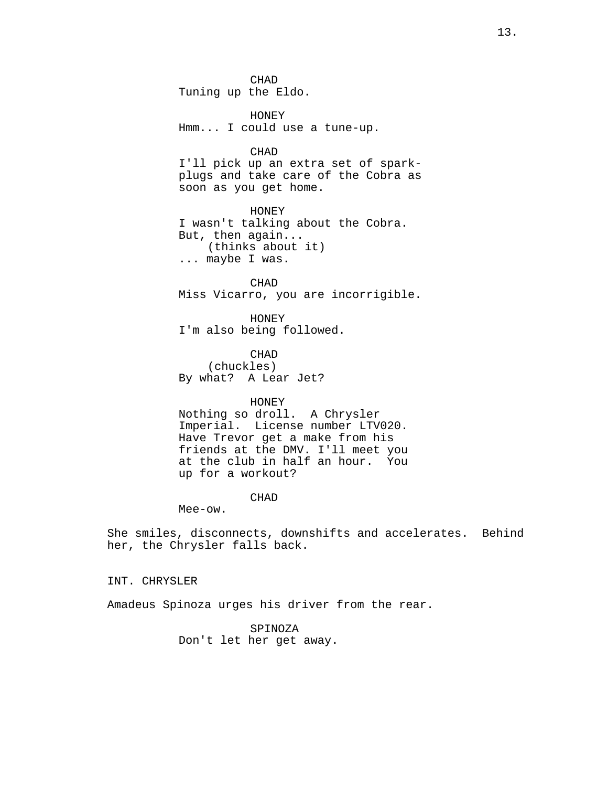CHAD Tuning up the Eldo.

HONEY Hmm... I could use a tune-up.

CHAD

I'll pick up an extra set of sparkplugs and take care of the Cobra as soon as you get home.

HONEY I wasn't talking about the Cobra. But, then again... (thinks about it) ... maybe I was.

CHAD Miss Vicarro, you are incorrigible.

HONEY I'm also being followed.

CHAD (chuckles) By what? A Lear Jet?

HONEY

Nothing so droll. A Chrysler Imperial. License number LTV020. Have Trevor get a make from his friends at the DMV. I'll meet you at the club in half an hour. You up for a workout?

CHAD

Mee-ow.

She smiles, disconnects, downshifts and accelerates. Behind her, the Chrysler falls back.

INT. CHRYSLER

Amadeus Spinoza urges his driver from the rear.

SPINOZA Don't let her get away.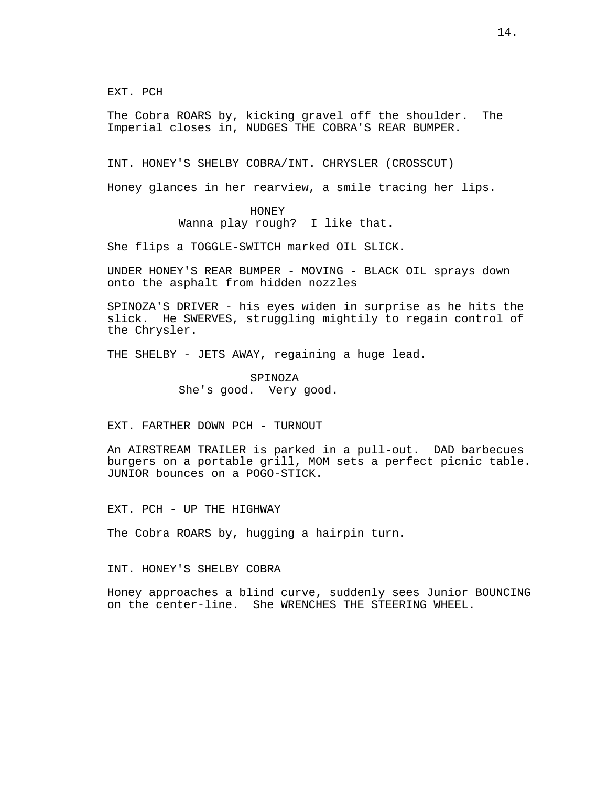EXT. PCH

The Cobra ROARS by, kicking gravel off the shoulder. The Imperial closes in, NUDGES THE COBRA'S REAR BUMPER.

INT. HONEY'S SHELBY COBRA/INT. CHRYSLER (CROSSCUT)

Honey glances in her rearview, a smile tracing her lips.

# HONEY

Wanna play rough? I like that.

She flips a TOGGLE-SWITCH marked OIL SLICK.

UNDER HONEY'S REAR BUMPER - MOVING - BLACK OIL sprays down onto the asphalt from hidden nozzles

SPINOZA'S DRIVER - his eyes widen in surprise as he hits the slick. He SWERVES, struggling mightily to regain control of the Chrysler.

THE SHELBY - JETS AWAY, regaining a huge lead.

SPINOZA She's good. Very good.

EXT. FARTHER DOWN PCH - TURNOUT

An AIRSTREAM TRAILER is parked in a pull-out. DAD barbecues burgers on a portable grill, MOM sets a perfect picnic table. JUNIOR bounces on a POGO-STICK.

EXT. PCH - UP THE HIGHWAY

The Cobra ROARS by, hugging a hairpin turn.

INT. HONEY'S SHELBY COBRA

Honey approaches a blind curve, suddenly sees Junior BOUNCING on the center-line. She WRENCHES THE STEERING WHEEL.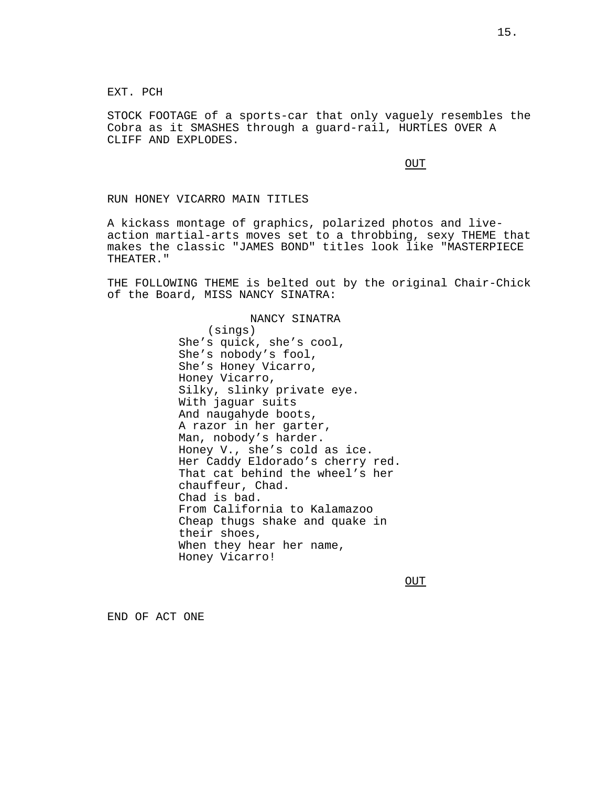EXT. PCH

STOCK FOOTAGE of a sports-car that only vaguely resembles the Cobra as it SMASHES through a guard-rail, HURTLES OVER A CLIFF AND EXPLODES.

**OUT** 

#### RUN HONEY VICARRO MAIN TITLES

A kickass montage of graphics, polarized photos and liveaction martial-arts moves set to a throbbing, sexy THEME that makes the classic "JAMES BOND" titles look like "MASTERPIECE THEATER."

THE FOLLOWING THEME is belted out by the original Chair-Chick of the Board, MISS NANCY SINATRA:

## NANCY SINATRA

(sings) She's quick, she's cool, She's nobody's fool, She's Honey Vicarro, Honey Vicarro, Silky, slinky private eye. With jaguar suits And naugahyde boots, A razor in her garter, Man, nobody's harder. Honey V., she's cold as ice. Her Caddy Eldorado's cherry red. That cat behind the wheel's her chauffeur, Chad. Chad is bad. From California to Kalamazoo Cheap thugs shake and quake in their shoes, When they hear her name, Honey Vicarro!

OUT

END OF ACT ONE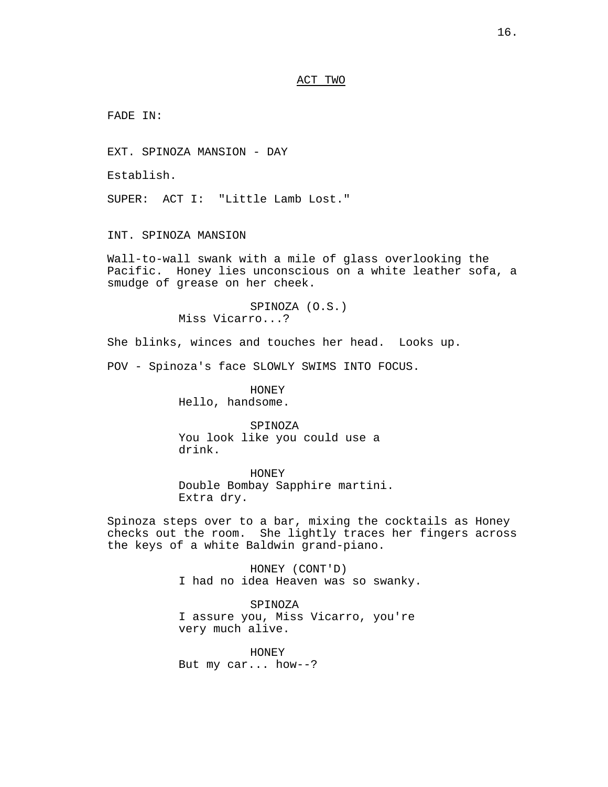## ACT TWO

FADE IN:

EXT. SPINOZA MANSION - DAY

Establish.

SUPER: ACT I: "Little Lamb Lost."

INT. SPINOZA MANSION

Wall-to-wall swank with a mile of glass overlooking the Pacific. Honey lies unconscious on a white leather sofa, a smudge of grease on her cheek.

> SPINOZA (O.S.) Miss Vicarro...?

She blinks, winces and touches her head. Looks up.

POV - Spinoza's face SLOWLY SWIMS INTO FOCUS.

HONEY Hello, handsome.

SPINOZA You look like you could use a drink.

HONEY Double Bombay Sapphire martini. Extra dry.

Spinoza steps over to a bar, mixing the cocktails as Honey checks out the room. She lightly traces her fingers across the keys of a white Baldwin grand-piano.

> HONEY (CONT'D) I had no idea Heaven was so swanky.

SPINOZA I assure you, Miss Vicarro, you're very much alive.

HONEY But my car... how--?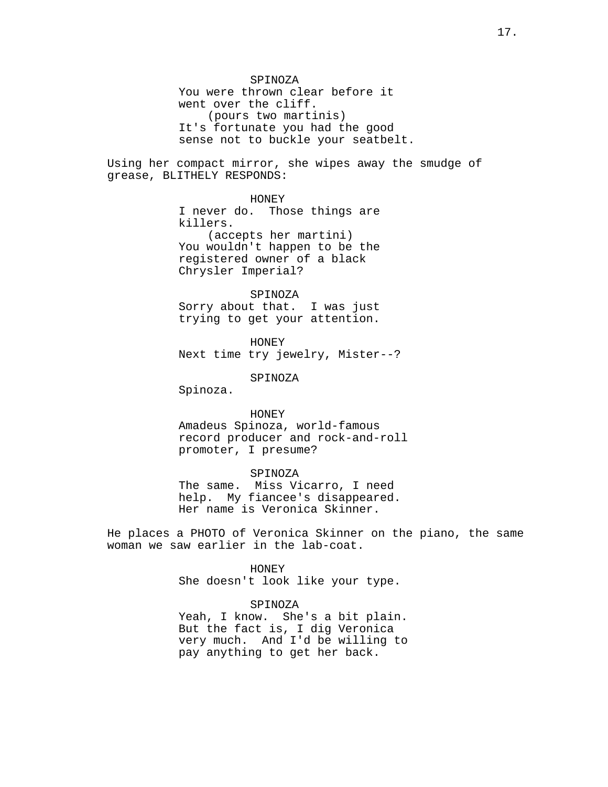SPINOZA You were thrown clear before it went over the cliff. (pours two martinis) It's fortunate you had the good sense not to buckle your seatbelt.

Using her compact mirror, she wipes away the smudge of grease, BLITHELY RESPONDS:

> HONEY I never do. Those things are killers. (accepts her martini) You wouldn't happen to be the registered owner of a black Chrysler Imperial?

# SPINOZA

Sorry about that. I was just trying to get your attention.

HONEY Next time try jewelry, Mister--?

SPINOZA

Spinoza.

HONEY Amadeus Spinoza, world-famous record producer and rock-and-roll promoter, I presume?

## SPINOZA

The same. Miss Vicarro, I need help. My fiancee's disappeared. Her name is Veronica Skinner.

He places a PHOTO of Veronica Skinner on the piano, the same woman we saw earlier in the lab-coat.

> HONEY She doesn't look like your type.

#### SPINOZA

Yeah, I know. She's a bit plain. But the fact is, I dig Veronica very much. And I'd be willing to pay anything to get her back.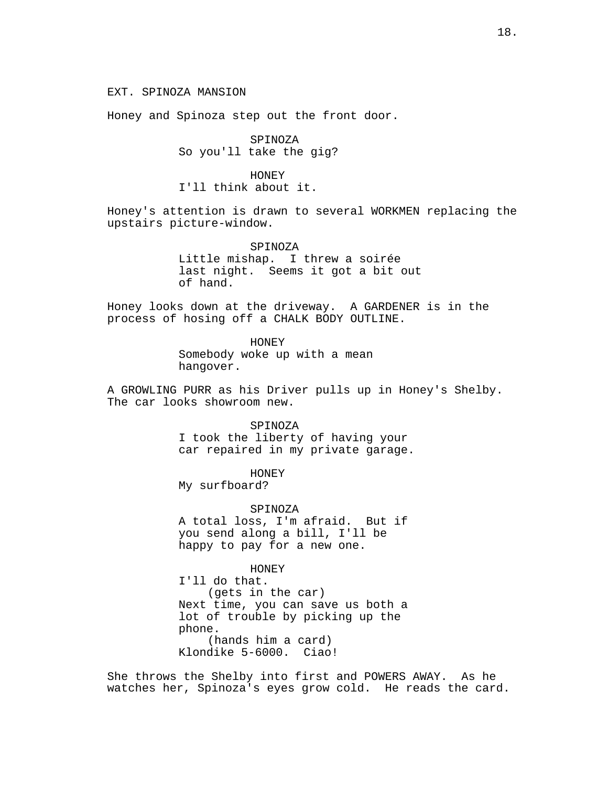Honey and Spinoza step out the front door.

SPINOZA So you'll take the gig?

HONEY I'll think about it.

Honey's attention is drawn to several WORKMEN replacing the upstairs picture-window.

> SPINOZA Little mishap. I threw a soirée last night. Seems it got a bit out of hand.

Honey looks down at the driveway. A GARDENER is in the process of hosing off a CHALK BODY OUTLINE.

> HONEY Somebody woke up with a mean hangover.

A GROWLING PURR as his Driver pulls up in Honey's Shelby. The car looks showroom new.

SPINOZA

I took the liberty of having your car repaired in my private garage.

HONEY My surfboard?

SPINOZA A total loss, I'm afraid. But if you send along a bill, I'll be happy to pay for a new one.

HONEY I'll do that. (gets in the car) Next time, you can save us both a lot of trouble by picking up the phone. (hands him a card) Klondike 5-6000. Ciao!

She throws the Shelby into first and POWERS AWAY. As he watches her, Spinoza's eyes grow cold. He reads the card.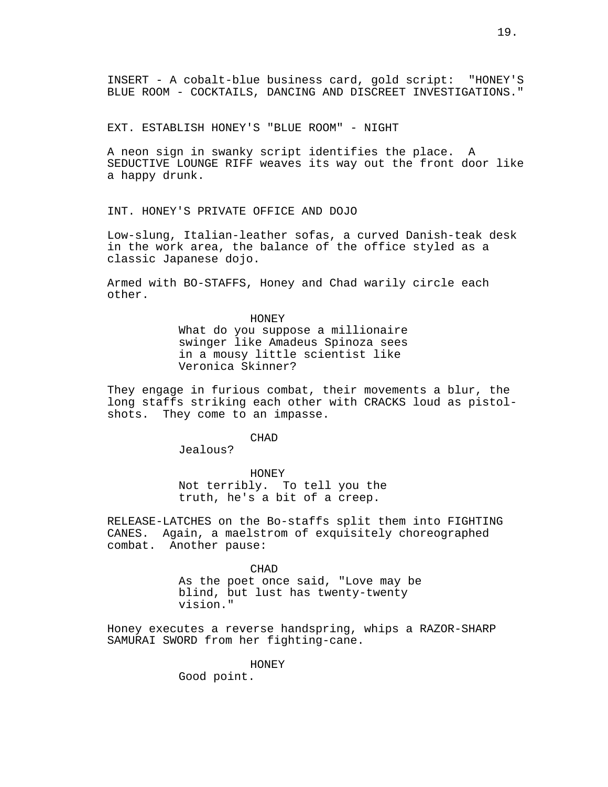EXT. ESTABLISH HONEY'S "BLUE ROOM" - NIGHT

A neon sign in swanky script identifies the place. A SEDUCTIVE LOUNGE RIFF weaves its way out the front door like a happy drunk.

INT. HONEY'S PRIVATE OFFICE AND DOJO

Low-slung, Italian-leather sofas, a curved Danish-teak desk in the work area, the balance of the office styled as a classic Japanese dojo.

Armed with BO-STAFFS, Honey and Chad warily circle each other.

> HONEY What do you suppose a millionaire swinger like Amadeus Spinoza sees in a mousy little scientist like Veronica Skinner?

They engage in furious combat, their movements a blur, the long staffs striking each other with CRACKS loud as pistolshots. They come to an impasse.

CHAD

Jealous?

HONEY

Not terribly. To tell you the truth, he's a bit of a creep.

RELEASE-LATCHES on the Bo-staffs split them into FIGHTING CANES. Again, a maelstrom of exquisitely choreographed combat. Another pause:

CHAD

As the poet once said, "Love may be blind, but lust has twenty-twenty vision."

Honey executes a reverse handspring, whips a RAZOR-SHARP SAMURAI SWORD from her fighting-cane.

HONEY

Good point.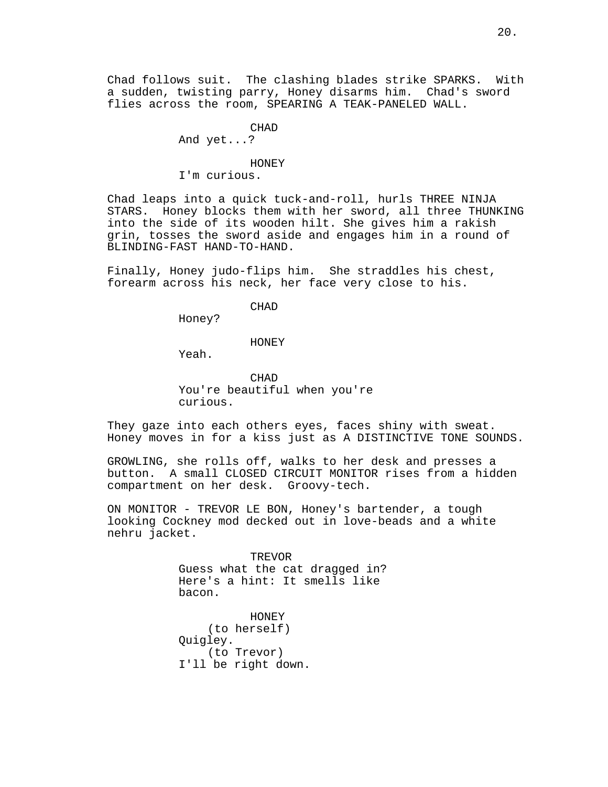Chad follows suit. The clashing blades strike SPARKS. With a sudden, twisting parry, Honey disarms him. Chad's sword flies across the room, SPEARING A TEAK-PANELED WALL.

> CHAD And yet...? HONEY

I'm curious.

Chad leaps into a quick tuck-and-roll, hurls THREE NINJA STARS. Honey blocks them with her sword, all three THUNKING into the side of its wooden hilt. She gives him a rakish grin, tosses the sword aside and engages him in a round of BLINDING-FAST HAND-TO-HAND.

Finally, Honey judo-flips him. She straddles his chest, forearm across his neck, her face very close to his.

CHAD

Honey?

HONEY

Yeah.

CHAD You're beautiful when you're curious.

They gaze into each others eyes, faces shiny with sweat. Honey moves in for a kiss just as A DISTINCTIVE TONE SOUNDS.

GROWLING, she rolls off, walks to her desk and presses a button. A small CLOSED CIRCUIT MONITOR rises from a hidden compartment on her desk. Groovy-tech.

ON MONITOR - TREVOR LE BON, Honey's bartender, a tough looking Cockney mod decked out in love-beads and a white nehru jacket.

> TREVOR Guess what the cat dragged in? Here's a hint: It smells like bacon.

HONEY (to herself) Quigley. (to Trevor) I'll be right down.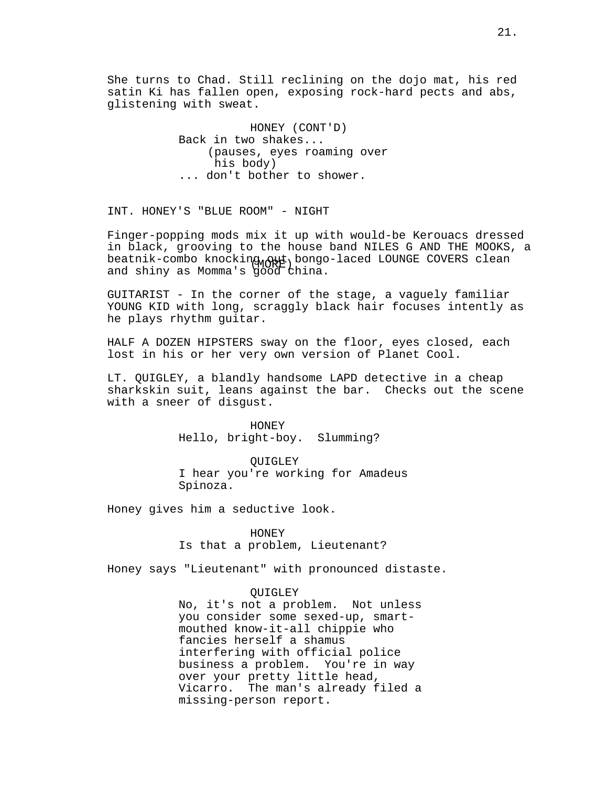She turns to Chad. Still reclining on the dojo mat, his red satin Ki has fallen open, exposing rock-hard pects and abs, glistening with sweat.

> HONEY (CONT'D) Back in two shakes... (pauses, eyes roaming over his body) ... don't bother to shower.

INT. HONEY'S "BLUE ROOM" - NIGHT

beatnik-combo knocking out bongo-laced LOUNGE COVERS clean Finger-popping mods mix it up with would-be Kerouacs dressed in black, grooving to the house band NILES G AND THE MOOKS, a and shiny as Momma's good china.

GUITARIST - In the corner of the stage, a vaguely familiar YOUNG KID with long, scraggly black hair focuses intently as he plays rhythm guitar.

HALF A DOZEN HIPSTERS sway on the floor, eyes closed, each lost in his or her very own version of Planet Cool.

LT. QUIGLEY, a blandly handsome LAPD detective in a cheap sharkskin suit, leans against the bar. Checks out the scene with a sneer of disgust.

> HONEY Hello, bright-boy. Slumming?

QUIGLEY I hear you're working for Amadeus Spinoza.

Honey gives him a seductive look.

HONEY

Is that a problem, Lieutenant?

Honey says "Lieutenant" with pronounced distaste.

#### QUIGLEY

No, it's not a problem. Not unless you consider some sexed-up, smartmouthed know-it-all chippie who fancies herself a shamus interfering with official police business a problem. You're in way over your pretty little head, Vicarro. The man's already filed a missing-person report.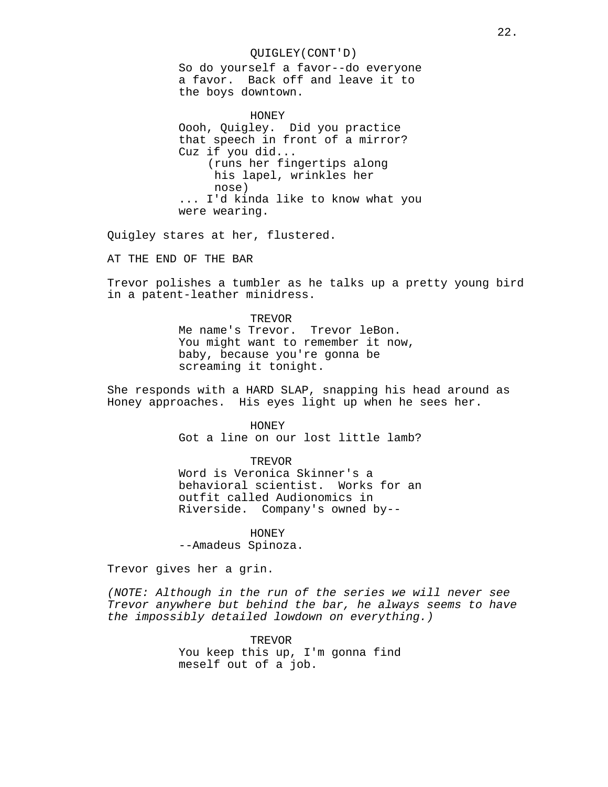## QUIGLEY(CONT'D)

So do yourself a favor--do everyone a favor. Back off and leave it to the boys downtown.

HONEY Oooh, Quigley. Did you practice that speech in front of a mirror? Cuz if you did... (runs her fingertips along his lapel, wrinkles her nose) ... I'd kinda like to know what you were wearing.

Quigley stares at her, flustered.

AT THE END OF THE BAR

Trevor polishes a tumbler as he talks up a pretty young bird in a patent-leather minidress.

# TREVOR

Me name's Trevor. Trevor leBon. You might want to remember it now, baby, because you're gonna be screaming it tonight.

She responds with a HARD SLAP, snapping his head around as Honey approaches. His eyes light up when he sees her.

HONEY

Got a line on our lost little lamb?

TREVOR

Word is Veronica Skinner's a behavioral scientist. Works for an outfit called Audionomics in Riverside. Company's owned by--

HONEY

--Amadeus Spinoza.

Trevor gives her a grin.

(NOTE: Although in the run of the series we will never see Trevor anywhere but behind the bar, he always seems to have the impossibly detailed lowdown on everything.)

> TREVOR You keep this up, I'm gonna find meself out of a job.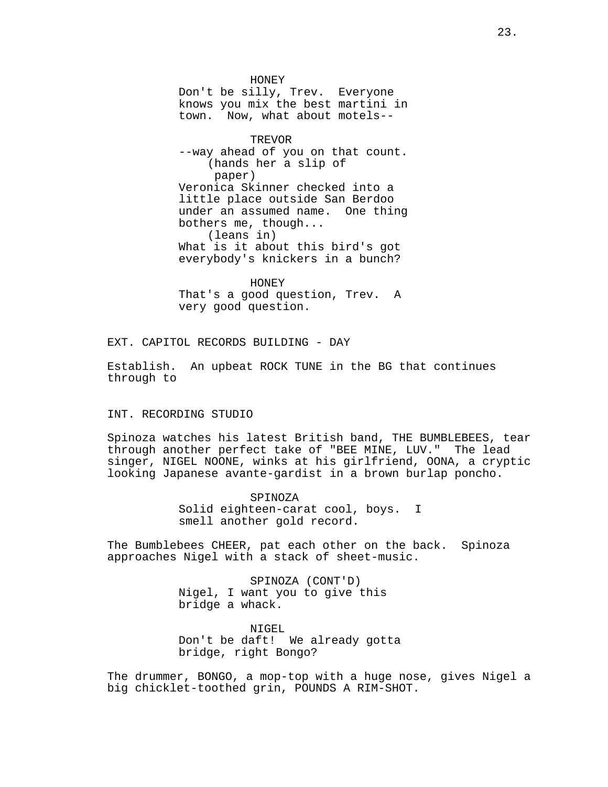HONEY Don't be silly, Trev. Everyone knows you mix the best martini in town. Now, what about motels--

TREVOR --way ahead of you on that count. (hands her a slip of paper) Veronica Skinner checked into a little place outside San Berdoo under an assumed name. One thing bothers me, though... (leans in) What is it about this bird's got everybody's knickers in a bunch?

HONEY That's a good question, Trev. A very good question.

EXT. CAPITOL RECORDS BUILDING - DAY

Establish. An upbeat ROCK TUNE in the BG that continues through to

#### INT. RECORDING STUDIO

Spinoza watches his latest British band, THE BUMBLEBEES, tear through another perfect take of "BEE MINE, LUV." The lead singer, NIGEL NOONE, winks at his girlfriend, OONA, a cryptic looking Japanese avante-gardist in a brown burlap poncho.

> SPINOZA Solid eighteen-carat cool, boys. I smell another gold record.

The Bumblebees CHEER, pat each other on the back. Spinoza approaches Nigel with a stack of sheet-music.

> SPINOZA (CONT'D) Nigel, I want you to give this bridge a whack.

NIGEL Don't be daft! We already gotta bridge, right Bongo?

The drummer, BONGO, a mop-top with a huge nose, gives Nigel a big chicklet-toothed grin, POUNDS A RIM-SHOT.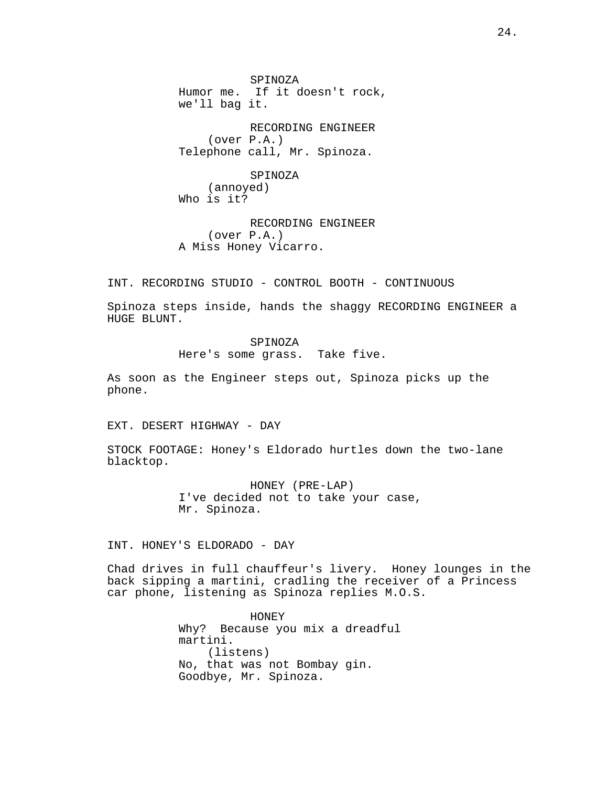SPINOZA Humor me. If it doesn't rock, we'll bag it.

RECORDING ENGINEER (over P.A.) Telephone call, Mr. Spinoza.

SPINOZA (annoyed) Who is it?

RECORDING ENGINEER (over P.A.) A Miss Honey Vicarro.

INT. RECORDING STUDIO - CONTROL BOOTH - CONTINUOUS

Spinoza steps inside, hands the shaggy RECORDING ENGINEER a HUGE BLUNT.

> SPINOZA Here's some grass. Take five.

As soon as the Engineer steps out, Spinoza picks up the phone.

EXT. DESERT HIGHWAY - DAY

STOCK FOOTAGE: Honey's Eldorado hurtles down the two-lane blacktop.

> HONEY (PRE-LAP) I've decided not to take your case, Mr. Spinoza.

INT. HONEY'S ELDORADO - DAY

Chad drives in full chauffeur's livery. Honey lounges in the back sipping a martini, cradling the receiver of a Princess car phone, listening as Spinoza replies M.O.S.

> HONEY Why? Because you mix a dreadful martini. (listens) No, that was not Bombay gin. Goodbye, Mr. Spinoza.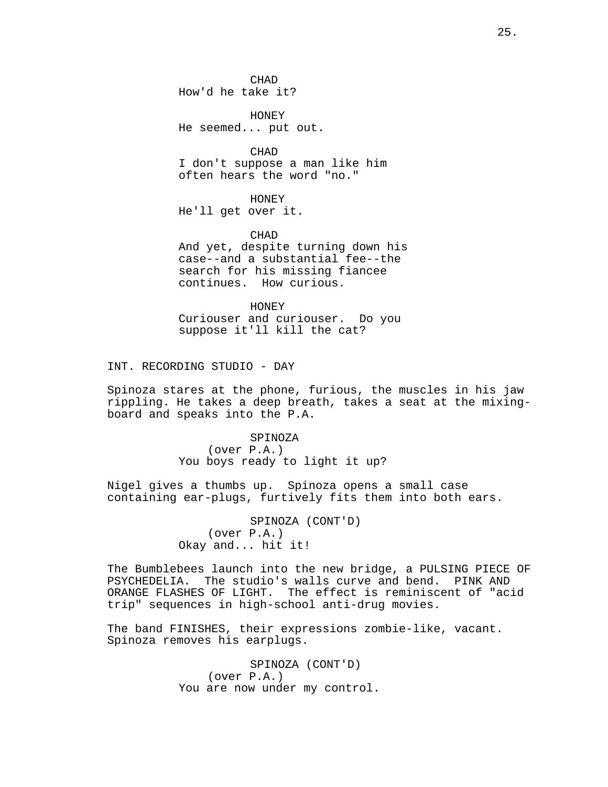**CHAD** How'd he take it?

HONEY He seemed... put out.

CHAD I don't suppose a man like him often hears the word "no."

HONEY He'll get over it.

CHAD And yet, despite turning down his case--and a substantial fee--the search for his missing fiancee continues. How curious.

HONEY Curiouser and curiouser. Do you suppose it'll kill the cat?

INT. RECORDING STUDIO - DAY

Spinoza stares at the phone, furious, the muscles in his jaw rippling. He takes a deep breath, takes a seat at the mixingboard and speaks into the P.A.

> SPINOZA (over P.A.) You boys ready to light it up?

Nigel gives a thumbs up. Spinoza opens a small case containing ear-plugs, furtively fits them into both ears.

> SPINOZA (CONT'D) (over P.A.) Okay and... hit it!

The Bumblebees launch into the new bridge, a PULSING PIECE OF PSYCHEDELIA. The studio's walls curve and bend. PINK AND ORANGE FLASHES OF LIGHT. The effect is reminiscent of "acid trip" sequences in high-school anti-drug movies.

The band FINISHES, their expressions zombie-like, vacant. Spinoza removes his earplugs.

> SPINOZA (CONT'D) (over P.A.) You are now under my control.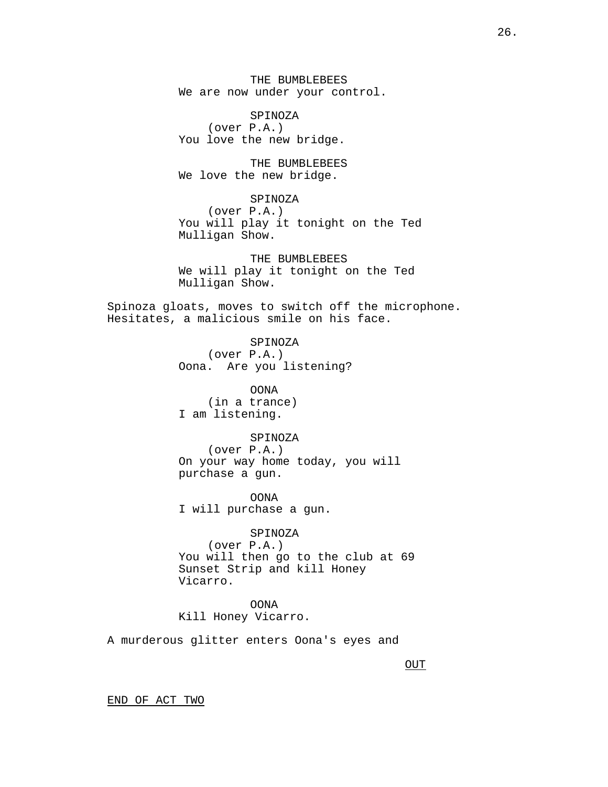THE BUMBLEBEES We are now under your control.

SPINOZA (over P.A.) You love the new bridge.

THE BUMBLEBEES We love the new bridge.

# SPINOZA

(over P.A.) You will play it tonight on the Ted Mulligan Show.

THE BUMBLEBEES We will play it tonight on the Ted Mulligan Show.

Spinoza gloats, moves to switch off the microphone. Hesitates, a malicious smile on his face.

> SPINOZA (over P.A.) Oona. Are you listening?

OONA (in a trance) I am listening.

# SPINOZA

(over P.A.) On your way home today, you will purchase a gun.

OONA I will purchase a gun.

SPINOZA (over P.A.) You will then go to the club at 69 Sunset Strip and kill Honey Vicarro.

OONA Kill Honey Vicarro.

A murderous glitter enters Oona's eyes and

**OUT** 

END OF ACT TWO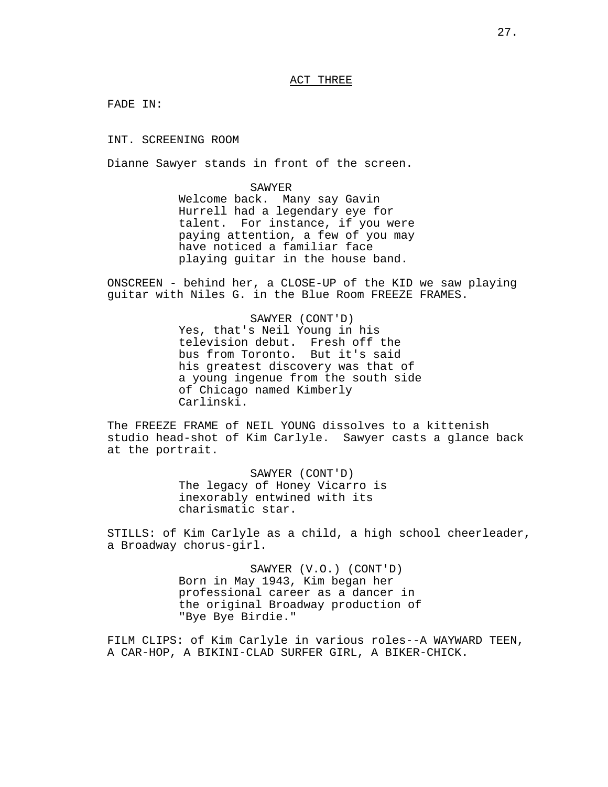# ACT THREE

FADE IN:

INT. SCREENING ROOM

Dianne Sawyer stands in front of the screen.

SAWYER Welcome back. Many say Gavin Hurrell had a legendary eye for talent. For instance, if you were paying attention, a few of you may have noticed a familiar face playing guitar in the house band.

ONSCREEN - behind her, a CLOSE-UP of the KID we saw playing guitar with Niles G. in the Blue Room FREEZE FRAMES.

> SAWYER (CONT'D) Yes, that's Neil Young in his television debut. Fresh off the bus from Toronto. But it's said his greatest discovery was that of a young ingenue from the south side of Chicago named Kimberly Carlinski.

The FREEZE FRAME of NEIL YOUNG dissolves to a kittenish studio head-shot of Kim Carlyle. Sawyer casts a glance back at the portrait.

> SAWYER (CONT'D) The legacy of Honey Vicarro is inexorably entwined with its charismatic star.

STILLS: of Kim Carlyle as a child, a high school cheerleader, a Broadway chorus-girl.

> SAWYER (V.O.) (CONT'D) Born in May 1943, Kim began her professional career as a dancer in the original Broadway production of "Bye Bye Birdie."

FILM CLIPS: of Kim Carlyle in various roles--A WAYWARD TEEN, A CAR-HOP, A BIKINI-CLAD SURFER GIRL, A BIKER-CHICK.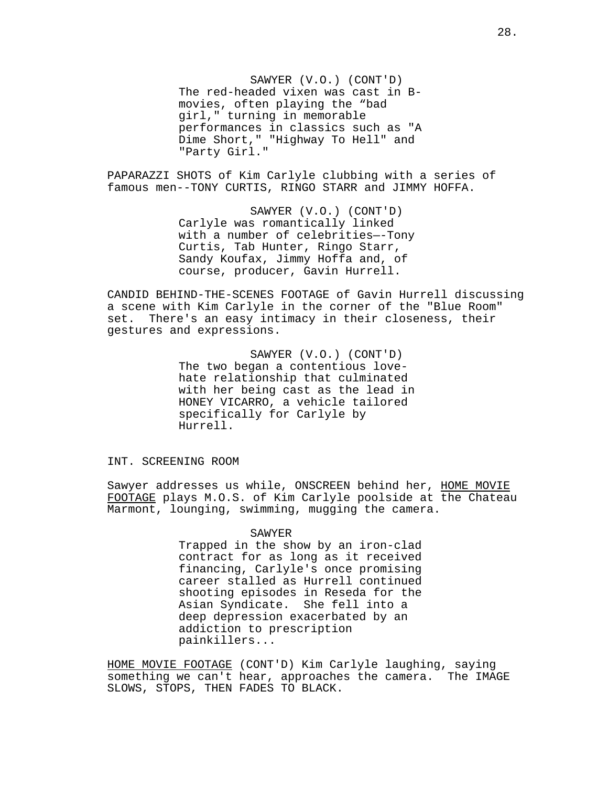SAWYER (V.O.) (CONT'D) The red-headed vixen was cast in Bmovies, often playing the "bad girl," turning in memorable performances in classics such as "A Dime Short," "Highway To Hell" and "Party Girl."

PAPARAZZI SHOTS of Kim Carlyle clubbing with a series of famous men--TONY CURTIS, RINGO STARR and JIMMY HOFFA.

> SAWYER (V.O.) (CONT'D) Carlyle was romantically linked with a number of celebrities—-Tony Curtis, Tab Hunter, Ringo Starr, Sandy Koufax, Jimmy Hoffa and, of course, producer, Gavin Hurrell.

CANDID BEHIND-THE-SCENES FOOTAGE of Gavin Hurrell discussing a scene with Kim Carlyle in the corner of the "Blue Room" set. There's an easy intimacy in their closeness, their gestures and expressions.

> SAWYER (V.O.) (CONT'D) The two began a contentious lovehate relationship that culminated with her being cast as the lead in HONEY VICARRO, a vehicle tailored specifically for Carlyle by Hurrell.

INT. SCREENING ROOM

Sawyer addresses us while, ONSCREEN behind her, HOME MOVIE FOOTAGE plays M.O.S. of Kim Carlyle poolside at the Chateau Marmont, lounging, swimming, mugging the camera.

#### SAWYER

Trapped in the show by an iron-clad contract for as long as it received financing, Carlyle's once promising career stalled as Hurrell continued shooting episodes in Reseda for the Asian Syndicate. She fell into a deep depression exacerbated by an addiction to prescription painkillers...

HOME MOVIE FOOTAGE (CONT'D) Kim Carlyle laughing, saying something we can't hear, approaches the camera. The IMAGE SLOWS, STOPS, THEN FADES TO BLACK.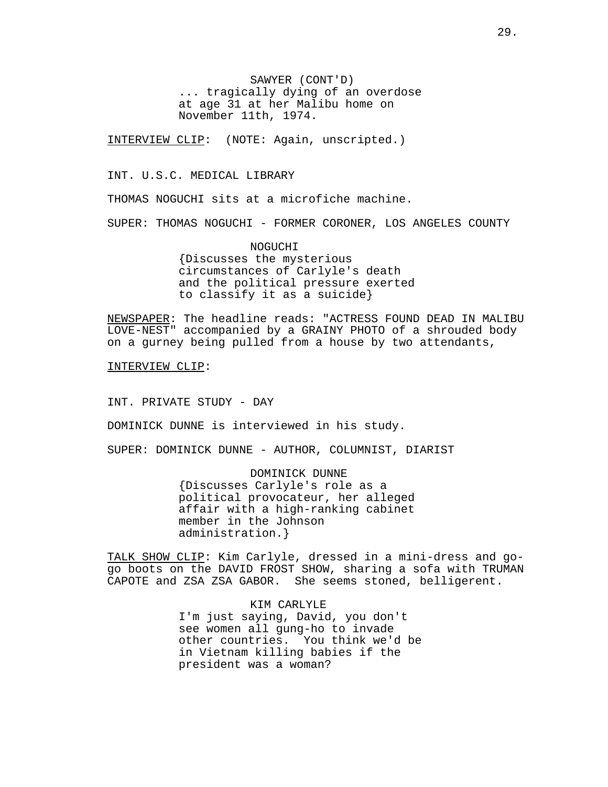SAWYER (CONT'D) ... tragically dying of an overdose at age 31 at her Malibu home on November 11th, 1974.

INTERVIEW CLIP: (NOTE: Again, unscripted.)

INT. U.S.C. MEDICAL LIBRARY

THOMAS NOGUCHI sits at a microfiche machine.

SUPER: THOMAS NOGUCHI - FORMER CORONER, LOS ANGELES COUNTY

NOGUCHI {Discusses the mysterious circumstances of Carlyle's death and the political pressure exerted to classify it as a suicide}

NEWSPAPER: The headline reads: "ACTRESS FOUND DEAD IN MALIBU LOVE-NEST" accompanied by a GRAINY PHOTO of a shrouded body on a gurney being pulled from a house by two attendants,

INTERVIEW CLIP:

INT. PRIVATE STUDY - DAY

DOMINICK DUNNE is interviewed in his study.

SUPER: DOMINICK DUNNE - AUTHOR, COLUMNIST, DIARIST

DOMINICK DUNNE {Discusses Carlyle's role as a political provocateur, her alleged affair with a high-ranking cabinet member in the Johnson administration.}

TALK SHOW CLIP: Kim Carlyle, dressed in a mini-dress and gogo boots on the DAVID FROST SHOW, sharing a sofa with TRUMAN CAPOTE and ZSA ZSA GABOR. She seems stoned, belligerent.

> KIM CARLYLE I'm just saying, David, you don't see women all gung-ho to invade other countries. You think we'd be in Vietnam killing babies if the president was a woman?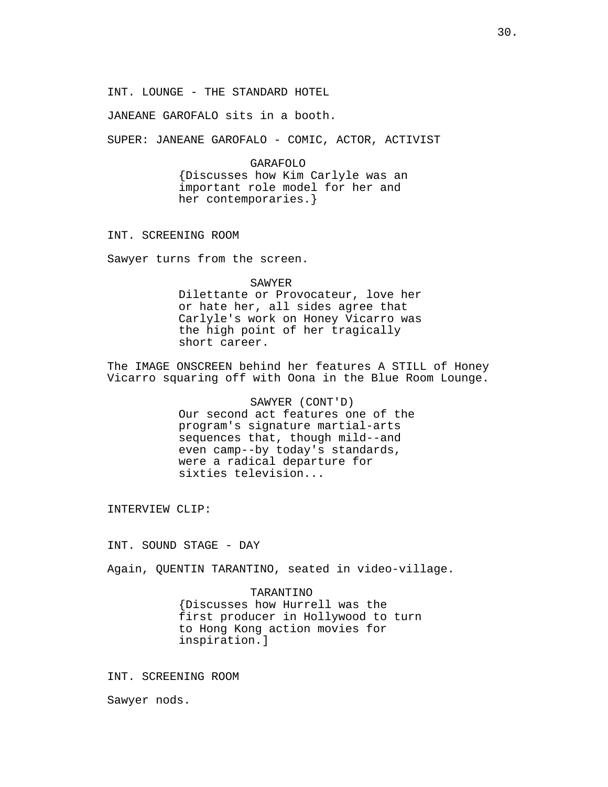INT. LOUNGE - THE STANDARD HOTEL

JANEANE GAROFALO sits in a booth.

SUPER: JANEANE GAROFALO - COMIC, ACTOR, ACTIVIST

#### GARAFOLO

{Discusses how Kim Carlyle was an important role model for her and her contemporaries.}

INT. SCREENING ROOM

Sawyer turns from the screen.

SAWYER

Dilettante or Provocateur, love her or hate her, all sides agree that Carlyle's work on Honey Vicarro was the high point of her tragically short career.

The IMAGE ONSCREEN behind her features A STILL of Honey Vicarro squaring off with Oona in the Blue Room Lounge.

> SAWYER (CONT'D) Our second act features one of the program's signature martial-arts sequences that, though mild--and even camp--by today's standards, were a radical departure for sixties television...

INTERVIEW CLIP:

INT. SOUND STAGE - DAY

Again, QUENTIN TARANTINO, seated in video-village.

#### TARANTINO

{Discusses how Hurrell was the first producer in Hollywood to turn to Hong Kong action movies for inspiration.]

INT. SCREENING ROOM

Sawyer nods.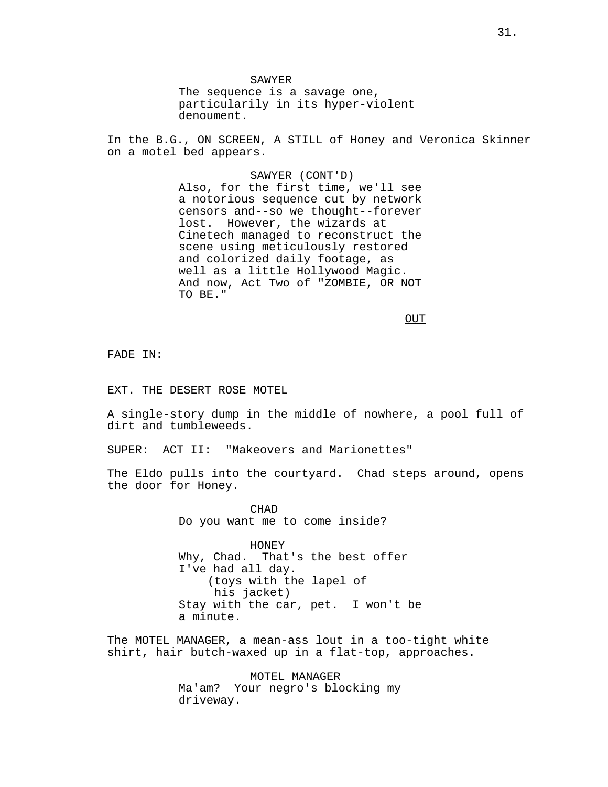SAWYER The sequence is a savage one, particularily in its hyper-violent denoument.

In the B.G., ON SCREEN, A STILL of Honey and Veronica Skinner on a motel bed appears.

> SAWYER (CONT'D) Also, for the first time, we'll see a notorious sequence cut by network censors and--so we thought--forever lost. However, the wizards at Cinetech managed to reconstruct the scene using meticulously restored and colorized daily footage, as well as a little Hollywood Magic. And now, Act Two of "ZOMBIE, OR NOT TO BE."

> > OUT

FADE IN:

EXT. THE DESERT ROSE MOTEL

A single-story dump in the middle of nowhere, a pool full of dirt and tumbleweeds.

SUPER: ACT II: "Makeovers and Marionettes"

The Eldo pulls into the courtyard. Chad steps around, opens the door for Honey.

> CHAD Do you want me to come inside?

HONEY Why, Chad. That's the best offer I've had all day. (toys with the lapel of his jacket) Stay with the car, pet. I won't be a minute.

The MOTEL MANAGER, a mean-ass lout in a too-tight white shirt, hair butch-waxed up in a flat-top, approaches.

> MOTEL MANAGER Ma'am? Your negro's blocking my driveway.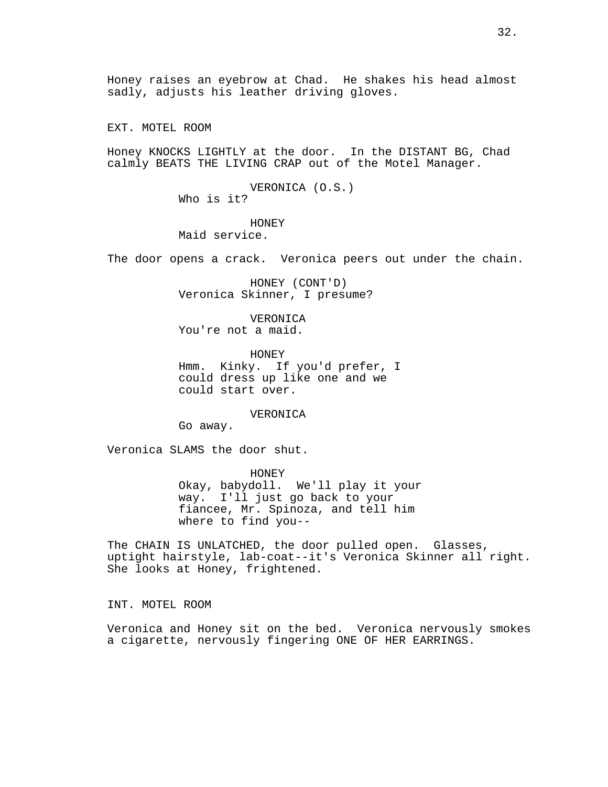Honey raises an eyebrow at Chad. He shakes his head almost sadly, adjusts his leather driving gloves.

EXT. MOTEL ROOM

Honey KNOCKS LIGHTLY at the door. In the DISTANT BG, Chad calmly BEATS THE LIVING CRAP out of the Motel Manager.

> VERONICA (O.S.) Who is it?

HONEY Maid service.

The door opens a crack. Veronica peers out under the chain.

HONEY (CONT'D) Veronica Skinner, I presume?

VERONICA You're not a maid.

HONEY Hmm. Kinky. If you'd prefer, I could dress up like one and we could start over.

VERONICA

Go away.

Veronica SLAMS the door shut.

HONEY Okay, babydoll. We'll play it your way. I'll just go back to your fiancee, Mr. Spinoza, and tell him where to find you--

The CHAIN IS UNLATCHED, the door pulled open. Glasses, uptight hairstyle, lab-coat--it's Veronica Skinner all right. She looks at Honey, frightened.

INT. MOTEL ROOM

Veronica and Honey sit on the bed. Veronica nervously smokes a cigarette, nervously fingering ONE OF HER EARRINGS.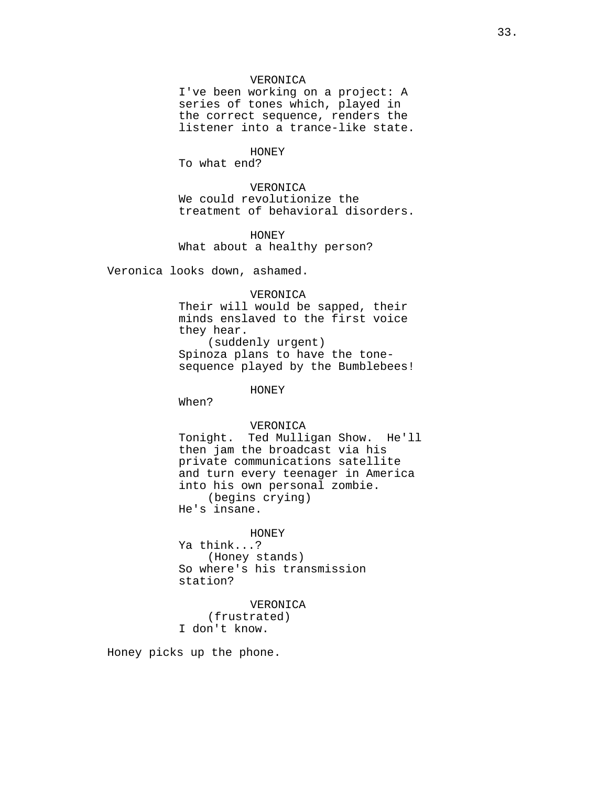## VERONICA

I've been working on a project: A series of tones which, played in the correct sequence, renders the listener into a trance-like state.

#### HONEY

To what end?

VERONICA We could revolutionize the treatment of behavioral disorders.

HONEY What about a healthy person?

Veronica looks down, ashamed.

# VERONICA

Their will would be sapped, their minds enslaved to the first voice they hear. (suddenly urgent) Spinoza plans to have the tonesequence played by the Bumblebees!

HONEY

When?

# VERONICA

Tonight. Ted Mulligan Show. He'll then jam the broadcast via his private communications satellite and turn every teenager in America into his own personal zombie. (begins crying) He's insane.

## HONEY

Ya think...? (Honey stands) So where's his transmission station?

# VERONICA (frustrated) I don't know.

Honey picks up the phone.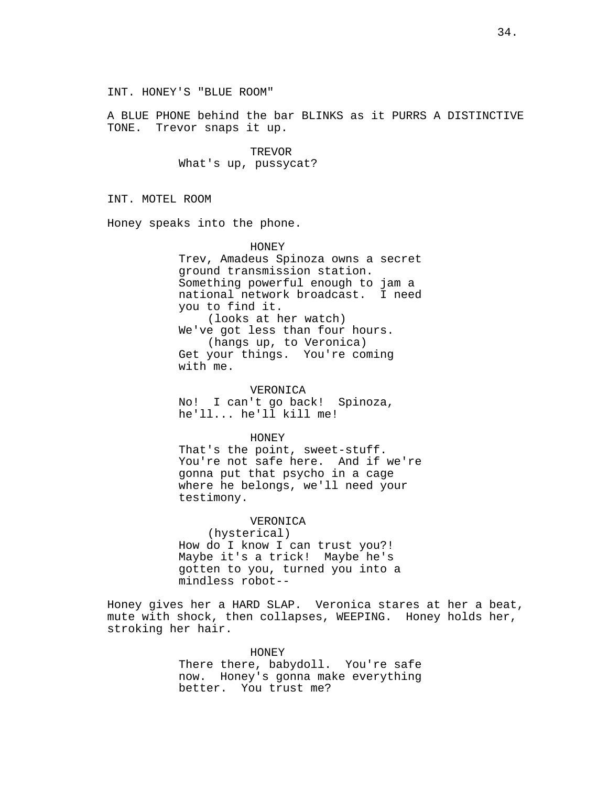INT. HONEY'S "BLUE ROOM"

A BLUE PHONE behind the bar BLINKS as it PURRS A DISTINCTIVE TONE. Trevor snaps it up.

> TREVOR What's up, pussycat?

INT. MOTEL ROOM

Honey speaks into the phone.

HONEY Trev, Amadeus Spinoza owns a secret ground transmission station. Something powerful enough to jam a national network broadcast. I need you to find it. (looks at her watch) We've got less than four hours. (hangs up, to Veronica) Get your things. You're coming with me.

VERONICA No! I can't go back! Spinoza, he'll... he'll kill me!

HONEY That's the point, sweet-stuff.

You're not safe here. And if we're gonna put that psycho in a cage where he belongs, we'll need your testimony.

VERONICA

(hysterical) How do I know I can trust you?!<br>Maybe it's a trick! Maybe he's Maybe it's a trick! gotten to you, turned you into a mindless robot--

Honey gives her a HARD SLAP. Veronica stares at her a beat, mute with shock, then collapses, WEEPING. Honey holds her, stroking her hair.

> HONEY There there, babydoll. You're safe now. Honey's gonna make everything better. You trust me?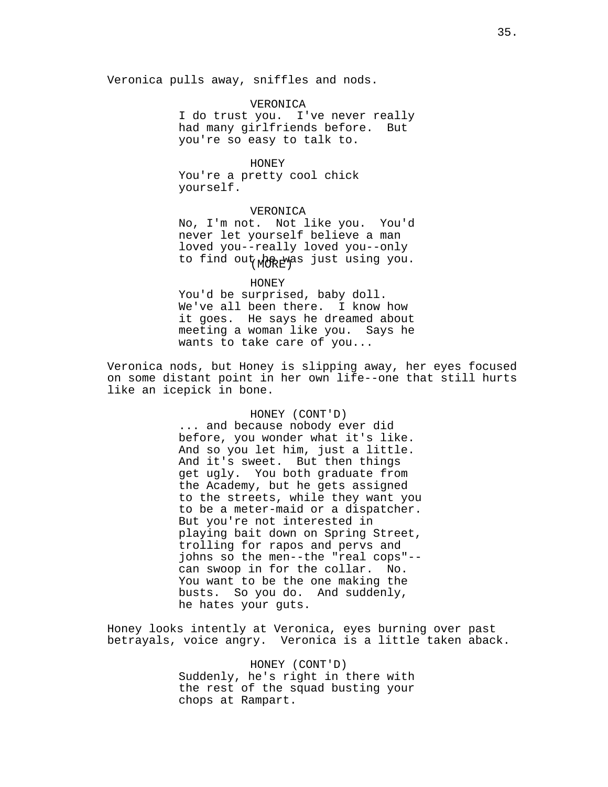Veronica pulls away, sniffles and nods.

VERONICA I do trust you. I've never really had many girlfriends before. But you're so easy to talk to.

HONEY You're a pretty cool chick yourself.

#### VERONICA

to find out<sub>(MORE</sub>was just using you. No, I'm not. Not like you. You'd never let yourself believe a man loved you--really loved you--only

HONEY You'd be surprised, baby doll. We've all been there. I know how it goes. He says he dreamed about meeting a woman like you. Says he wants to take care of you...

Veronica nods, but Honey is slipping away, her eyes focused on some distant point in her own life--one that still hurts like an icepick in bone.

## HONEY (CONT'D)

... and because nobody ever did before, you wonder what it's like. And so you let him, just a little. And it's sweet. But then things get ugly. You both graduate from the Academy, but he gets assigned to the streets, while they want you to be a meter-maid or a dispatcher. But you're not interested in playing bait down on Spring Street, trolling for rapos and pervs and johns so the men--the "real cops"- can swoop in for the collar. No. You want to be the one making the busts. So you do. And suddenly, he hates your guts.

Honey looks intently at Veronica, eyes burning over past betrayals, voice angry. Veronica is a little taken aback.

> HONEY (CONT'D) Suddenly, he's right in there with the rest of the squad busting your chops at Rampart.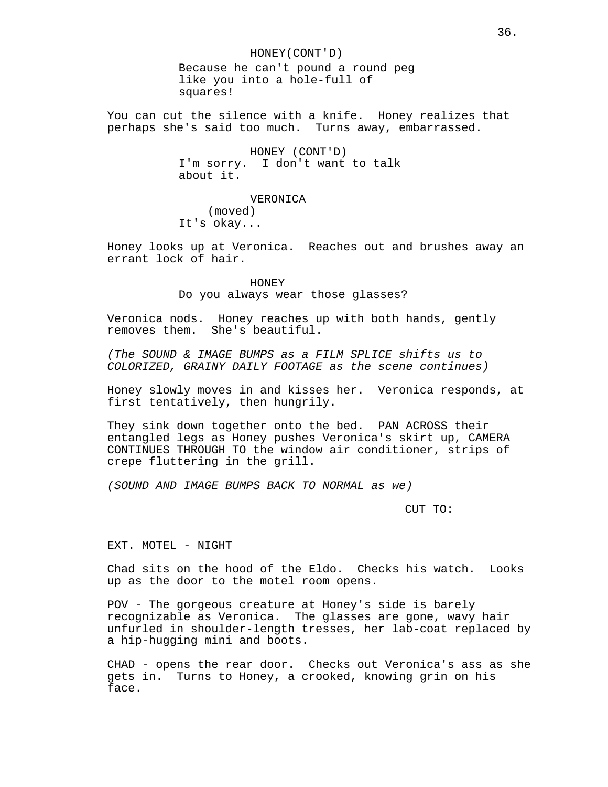HONEY(CONT'D) Because he can't pound a round peg like you into a hole-full of squares!

You can cut the silence with a knife. Honey realizes that perhaps she's said too much. Turns away, embarrassed.

> HONEY (CONT'D) I'm sorry. I don't want to talk about it.

VERONICA (moved) It's okay...

Honey looks up at Veronica. Reaches out and brushes away an errant lock of hair.

> HONEY Do you always wear those glasses?

Veronica nods. Honey reaches up with both hands, gently removes them. She's beautiful.

(The SOUND & IMAGE BUMPS as a FILM SPLICE shifts us to COLORIZED, GRAINY DAILY FOOTAGE as the scene continues)

Honey slowly moves in and kisses her. Veronica responds, at first tentatively, then hungrily.

They sink down together onto the bed. PAN ACROSS their entangled legs as Honey pushes Veronica's skirt up, CAMERA CONTINUES THROUGH TO the window air conditioner, strips of crepe fluttering in the grill.

(SOUND AND IMAGE BUMPS BACK TO NORMAL as we)

CUT TO:

EXT. MOTEL - NIGHT

Chad sits on the hood of the Eldo. Checks his watch. Looks up as the door to the motel room opens.

POV - The gorgeous creature at Honey's side is barely recognizable as Veronica. The glasses are gone, wavy hair unfurled in shoulder-length tresses, her lab-coat replaced by a hip-hugging mini and boots.

CHAD - opens the rear door. Checks out Veronica's ass as she gets in. Turns to Honey, a crooked, knowing grin on his face.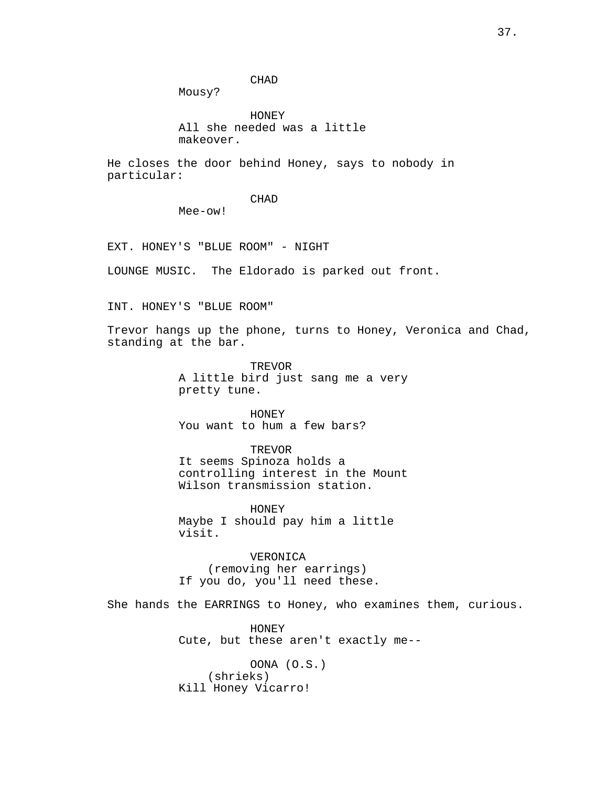CHAD

Mousy?

HONEY All she needed was a little makeover.

He closes the door behind Honey, says to nobody in particular:

# CHAD

Mee-ow!

EXT. HONEY'S "BLUE ROOM" - NIGHT

LOUNGE MUSIC. The Eldorado is parked out front.

INT. HONEY'S "BLUE ROOM"

Trevor hangs up the phone, turns to Honey, Veronica and Chad, standing at the bar.

> **TREVOR** A little bird just sang me a very pretty tune.

HONEY You want to hum a few bars?

TREVOR It seems Spinoza holds a controlling interest in the Mount Wilson transmission station.

HONEY Maybe I should pay him a little visit.

VERONICA (removing her earrings) If you do, you'll need these.

She hands the EARRINGS to Honey, who examines them, curious.

HONEY Cute, but these aren't exactly me--

OONA (O.S.) (shrieks) Kill Honey Vicarro!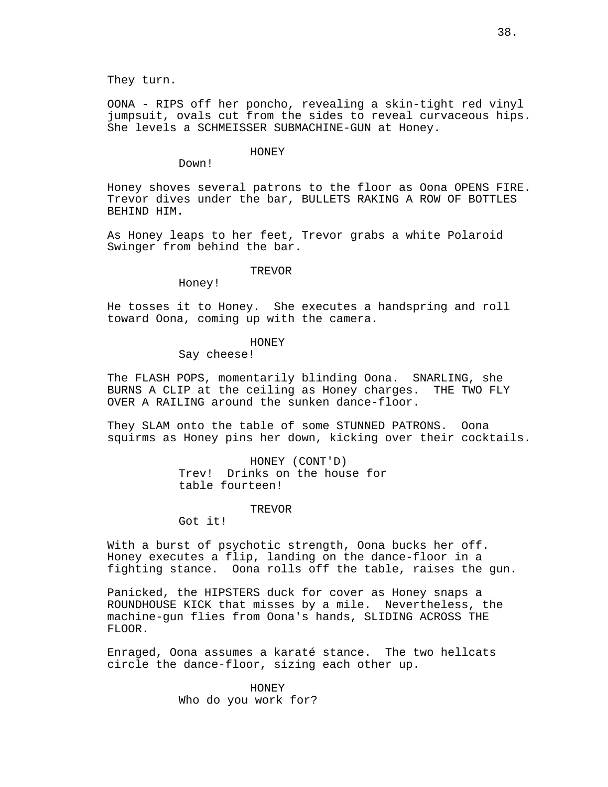They turn.

OONA - RIPS off her poncho, revealing a skin-tight red vinyl jumpsuit, ovals cut from the sides to reveal curvaceous hips. She levels a SCHMEISSER SUBMACHINE-GUN at Honey.

#### HONEY

Down!

Honey shoves several patrons to the floor as Oona OPENS FIRE. Trevor dives under the bar, BULLETS RAKING A ROW OF BOTTLES BEHIND HIM.

As Honey leaps to her feet, Trevor grabs a white Polaroid Swinger from behind the bar.

#### TREVOR

Honey!

He tosses it to Honey. She executes a handspring and roll toward Oona, coming up with the camera.

#### HONEY

Say cheese!

The FLASH POPS, momentarily blinding Oona. SNARLING, she BURNS A CLIP at the ceiling as Honey charges. THE TWO FLY OVER A RAILING around the sunken dance-floor.

They SLAM onto the table of some STUNNED PATRONS. Oona squirms as Honey pins her down, kicking over their cocktails.

> HONEY (CONT'D) Trev! Drinks on the house for table fourteen!

> > TREVOR

Got it!

With a burst of psychotic strength, Oona bucks her off. Honey executes a flip, landing on the dance-floor in a fighting stance. Oona rolls off the table, raises the gun.

Panicked, the HIPSTERS duck for cover as Honey snaps a ROUNDHOUSE KICK that misses by a mile. Nevertheless, the machine-gun flies from Oona's hands, SLIDING ACROSS THE FLOOR.

Enraged, Oona assumes a karaté stance. The two hellcats circle the dance-floor, sizing each other up.

> HONEY Who do you work for?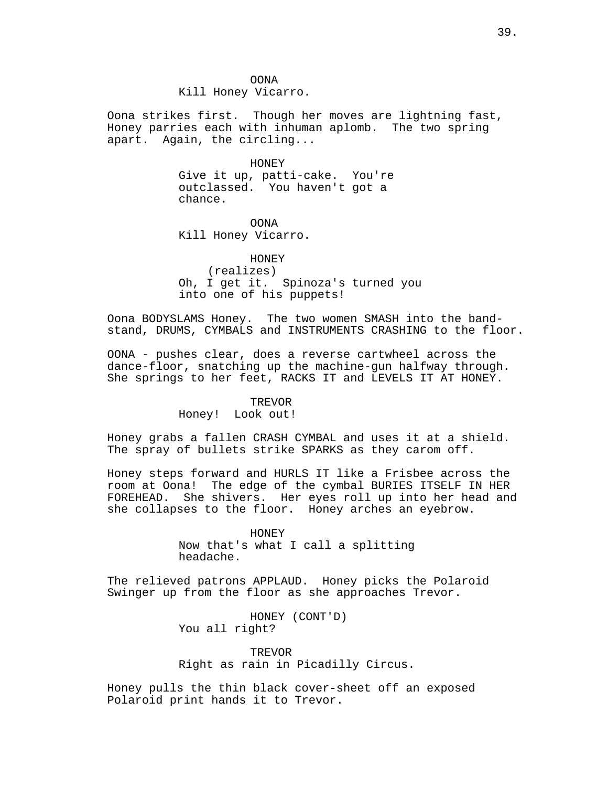OONA Kill Honey Vicarro.

Oona strikes first. Though her moves are lightning fast, Honey parries each with inhuman aplomb. The two spring apart. Again, the circling...

#### HONEY

Give it up, patti-cake. You're outclassed. You haven't got a chance.

OONA Kill Honey Vicarro.

HONEY

(realizes) Oh, I get it. Spinoza's turned you into one of his puppets!

Oona BODYSLAMS Honey. The two women SMASH into the bandstand, DRUMS, CYMBALS and INSTRUMENTS CRASHING to the floor.

OONA - pushes clear, does a reverse cartwheel across the dance-floor, snatching up the machine-gun halfway through. She springs to her feet, RACKS IT and LEVELS IT AT HONEY.

## TREVOR

Honey! Look out!

Honey grabs a fallen CRASH CYMBAL and uses it at a shield. The spray of bullets strike SPARKS as they carom off.

Honey steps forward and HURLS IT like a Frisbee across the room at Oona! The edge of the cymbal BURIES ITSELF IN HER FOREHEAD. She shivers. Her eyes roll up into her head and she collapses to the floor. Honey arches an eyebrow.

> HONEY Now that's what I call a splitting headache.

The relieved patrons APPLAUD. Honey picks the Polaroid Swinger up from the floor as she approaches Trevor.

> HONEY (CONT'D) You all right?

TREVOR Right as rain in Picadilly Circus.

Honey pulls the thin black cover-sheet off an exposed Polaroid print hands it to Trevor.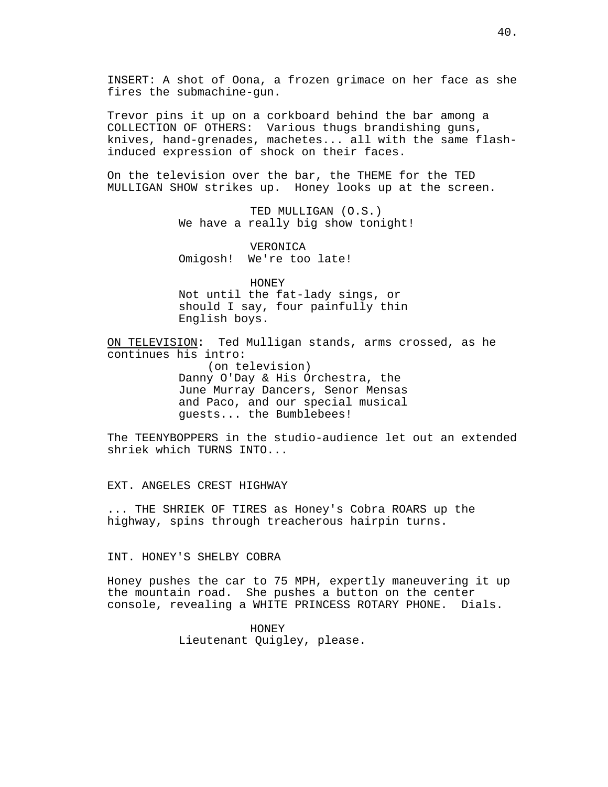INSERT: A shot of Oona, a frozen grimace on her face as she fires the submachine-gun.

Trevor pins it up on a corkboard behind the bar among a COLLECTION OF OTHERS: Various thugs brandishing guns, knives, hand-grenades, machetes... all with the same flashinduced expression of shock on their faces.

On the television over the bar, the THEME for the TED MULLIGAN SHOW strikes up. Honey looks up at the screen.

> TED MULLIGAN (O.S.) We have a really big show tonight!

VERONICA Omigosh! We're too late!

HONEY Not until the fat-lady sings, or should I say, four painfully thin English boys.

ON TELEVISION: Ted Mulligan stands, arms crossed, as he continues his intro:

(on television) Danny O'Day & His Orchestra, the June Murray Dancers, Senor Mensas and Paco, and our special musical guests... the Bumblebees!

The TEENYBOPPERS in the studio-audience let out an extended shriek which TURNS INTO...

EXT. ANGELES CREST HIGHWAY

... THE SHRIEK OF TIRES as Honey's Cobra ROARS up the highway, spins through treacherous hairpin turns.

INT. HONEY'S SHELBY COBRA

Honey pushes the car to 75 MPH, expertly maneuvering it up the mountain road. She pushes a button on the center console, revealing a WHITE PRINCESS ROTARY PHONE. Dials.

> HONEY Lieutenant Quigley, please.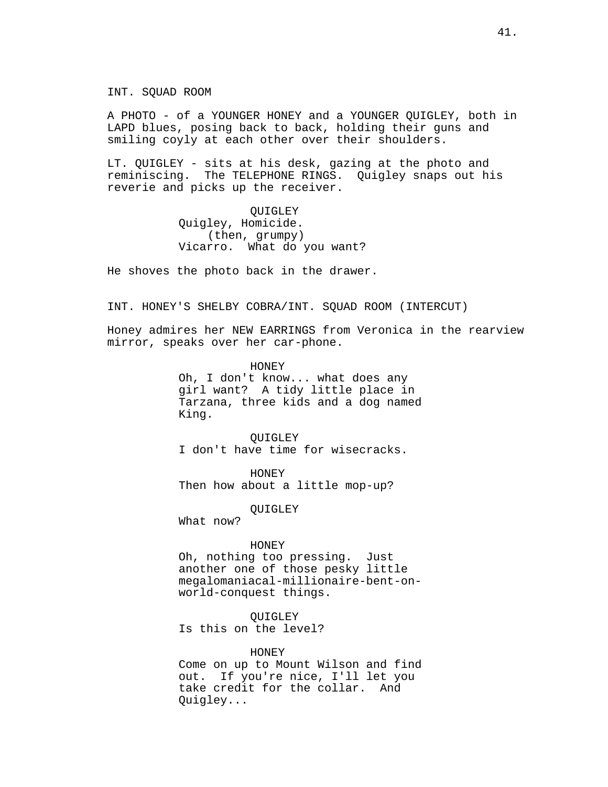INT. SQUAD ROOM

A PHOTO - of a YOUNGER HONEY and a YOUNGER QUIGLEY, both in LAPD blues, posing back to back, holding their guns and smiling coyly at each other over their shoulders.

LT. QUIGLEY - sits at his desk, gazing at the photo and reminiscing. The TELEPHONE RINGS. Quigley snaps out his reverie and picks up the receiver.

> QUIGLEY Quigley, Homicide. (then, grumpy) Vicarro. What do you want?

He shoves the photo back in the drawer.

INT. HONEY'S SHELBY COBRA/INT. SQUAD ROOM (INTERCUT)

Honey admires her NEW EARRINGS from Veronica in the rearview mirror, speaks over her car-phone.

> HONEY Oh, I don't know... what does any girl want? A tidy little place in Tarzana, three kids and a dog named King.

QUIGLEY I don't have time for wisecracks.

HONEY Then how about a little mop-up?

**OUIGLEY** 

What now?

HONEY

Oh, nothing too pressing. Just another one of those pesky little megalomaniacal-millionaire-bent-onworld-conquest things.

QUIGLEY Is this on the level?

#### HONEY

Come on up to Mount Wilson and find out. If you're nice, I'll let you take credit for the collar. And Quigley...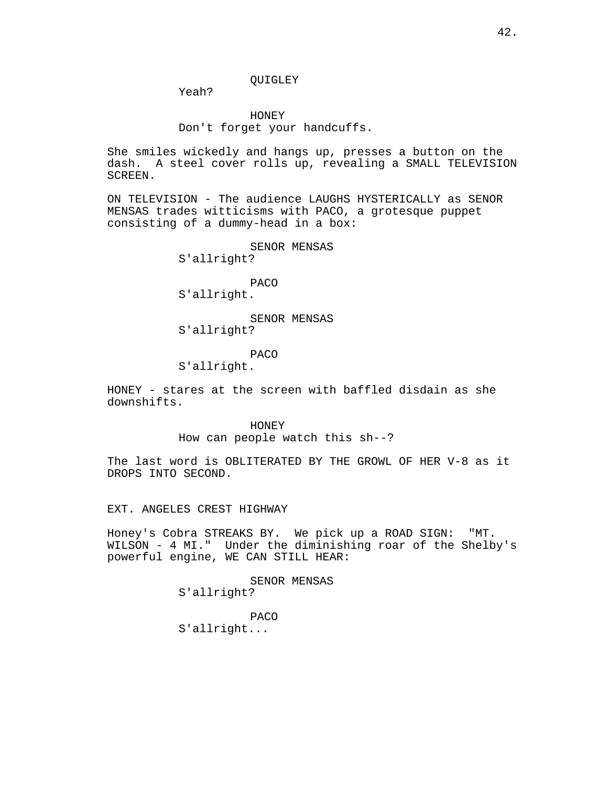QUIGLEY

Yeah?

HONEY Don't forget your handcuffs.

She smiles wickedly and hangs up, presses a button on the dash. A steel cover rolls up, revealing a SMALL TELEVISION SCREEN.

ON TELEVISION - The audience LAUGHS HYSTERICALLY as SENOR MENSAS trades witticisms with PACO, a grotesque puppet consisting of a dummy-head in a box:

SENOR MENSAS

S'allright?

PACO

S'allright.

SENOR MENSAS S'allright?

## PACO

S'allright.

HONEY - stares at the screen with baffled disdain as she downshifts.

> HONEY How can people watch this sh--?

The last word is OBLITERATED BY THE GROWL OF HER V-8 as it DROPS INTO SECOND.

EXT. ANGELES CREST HIGHWAY

Honey's Cobra STREAKS BY. We pick up a ROAD SIGN: "MT. WILSON - 4 MI." Under the diminishing roar of the Shelby's powerful engine, WE CAN STILL HEAR:

> SENOR MENSAS S'allright?

PACO S'allright...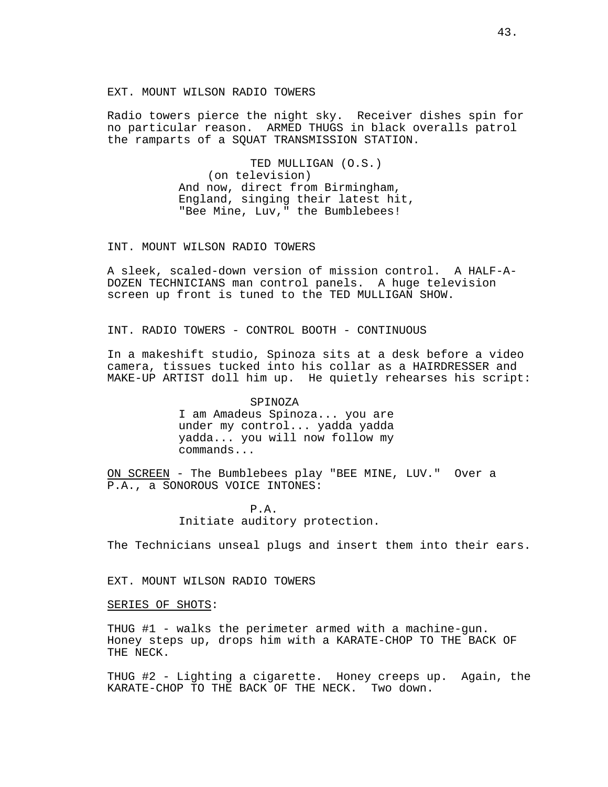## EXT. MOUNT WILSON RADIO TOWERS

Radio towers pierce the night sky. Receiver dishes spin for no particular reason. ARMED THUGS in black overalls patrol the ramparts of a SQUAT TRANSMISSION STATION.

> TED MULLIGAN (O.S.) (on television) And now, direct from Birmingham, England, singing their latest hit, "Bee Mine, Luv," the Bumblebees!

## INT. MOUNT WILSON RADIO TOWERS

A sleek, scaled-down version of mission control. A HALF-A-DOZEN TECHNICIANS man control panels. A huge television screen up front is tuned to the TED MULLIGAN SHOW.

INT. RADIO TOWERS - CONTROL BOOTH - CONTINUOUS

In a makeshift studio, Spinoza sits at a desk before a video camera, tissues tucked into his collar as a HAIRDRESSER and MAKE-UP ARTIST doll him up. He quietly rehearses his script:

## SPINOZA

I am Amadeus Spinoza... you are under my control... yadda yadda yadda... you will now follow my commands...

ON SCREEN - The Bumblebees play "BEE MINE, LUV." Over a P.A., a SONOROUS VOICE INTONES:

# P.A. Initiate auditory protection.

The Technicians unseal plugs and insert them into their ears.

EXT. MOUNT WILSON RADIO TOWERS

#### SERIES OF SHOTS:

THUG #1 - walks the perimeter armed with a machine-gun. Honey steps up, drops him with a KARATE-CHOP TO THE BACK OF THE NECK.

THUG #2 - Lighting a cigarette. Honey creeps up. Again, the KARATE-CHOP TO THE BACK OF THE NECK. Two down.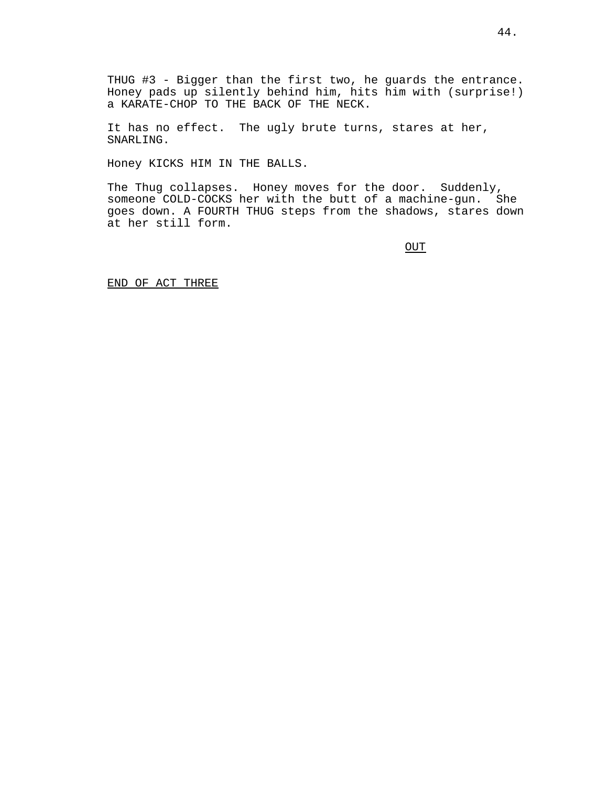THUG #3 - Bigger than the first two, he guards the entrance. Honey pads up silently behind him, hits him with (surprise!) a KARATE-CHOP TO THE BACK OF THE NECK.

It has no effect. The ugly brute turns, stares at her, SNARLING.

Honey KICKS HIM IN THE BALLS.

The Thug collapses. Honey moves for the door. Suddenly, someone COLD-COCKS her with the butt of a machine-gun. She goes down. A FOURTH THUG steps from the shadows, stares down at her still form.

OUT

END OF ACT THREE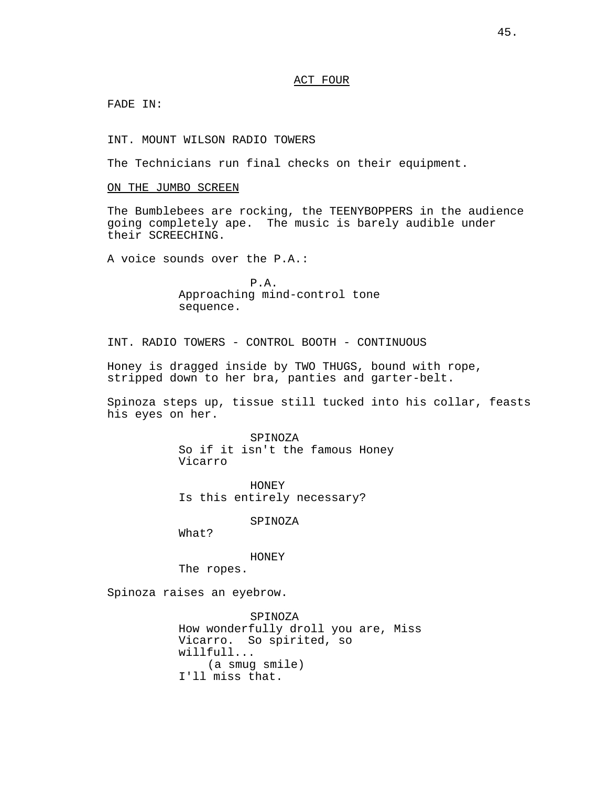#### ACT FOUR

FADE IN:

INT. MOUNT WILSON RADIO TOWERS

The Technicians run final checks on their equipment.

ON THE JUMBO SCREEN

The Bumblebees are rocking, the TEENYBOPPERS in the audience going completely ape. The music is barely audible under their SCREECHING.

A voice sounds over the P.A.:

P.A. Approaching mind-control tone sequence.

INT. RADIO TOWERS - CONTROL BOOTH - CONTINUOUS

Honey is dragged inside by TWO THUGS, bound with rope, stripped down to her bra, panties and garter-belt.

Spinoza steps up, tissue still tucked into his collar, feasts his eyes on her.

> SPINOZA So if it isn't the famous Honey Vicarro

HONEY Is this entirely necessary?

SPINOZA

What?

HONEY

The ropes.

Spinoza raises an eyebrow.

SPINOZA How wonderfully droll you are, Miss Vicarro. So spirited, so willfull... (a smug smile) I'll miss that.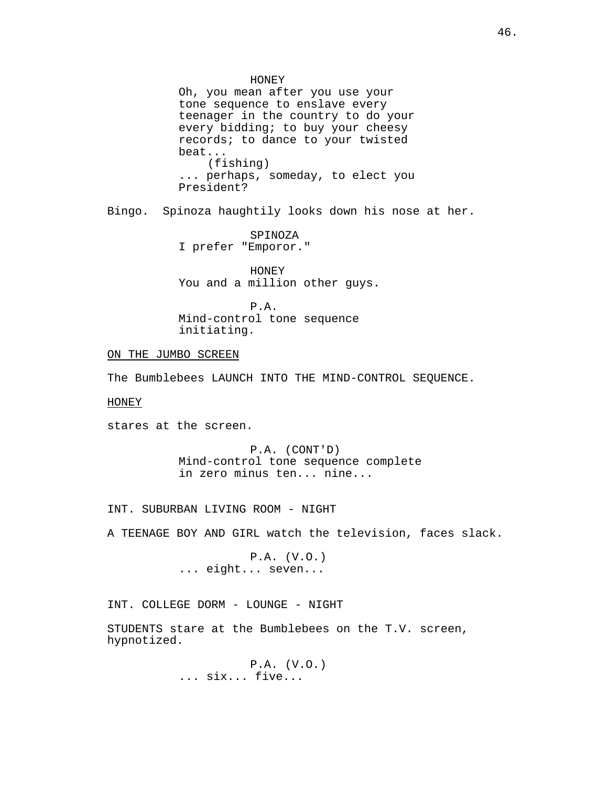Oh, you mean after you use your tone sequence to enslave every teenager in the country to do your every bidding; to buy your cheesy records; to dance to your twisted beat... (fishing) ... perhaps, someday, to elect you President?

Bingo. Spinoza haughtily looks down his nose at her.

SPINOZA I prefer "Emporor."

HONEY You and a million other guys.

P.A. Mind-control tone sequence initiating.

## ON THE JUMBO SCREEN

The Bumblebees LAUNCH INTO THE MIND-CONTROL SEQUENCE.

#### HONEY

stares at the screen.

P.A. (CONT'D) Mind-control tone sequence complete in zero minus ten... nine...

INT. SUBURBAN LIVING ROOM - NIGHT

A TEENAGE BOY AND GIRL watch the television, faces slack.

P.A. (V.O.) ... eight... seven...

INT. COLLEGE DORM - LOUNGE - NIGHT

STUDENTS stare at the Bumblebees on the T.V. screen, hypnotized.

> P.A. (V.O.) ... six... five...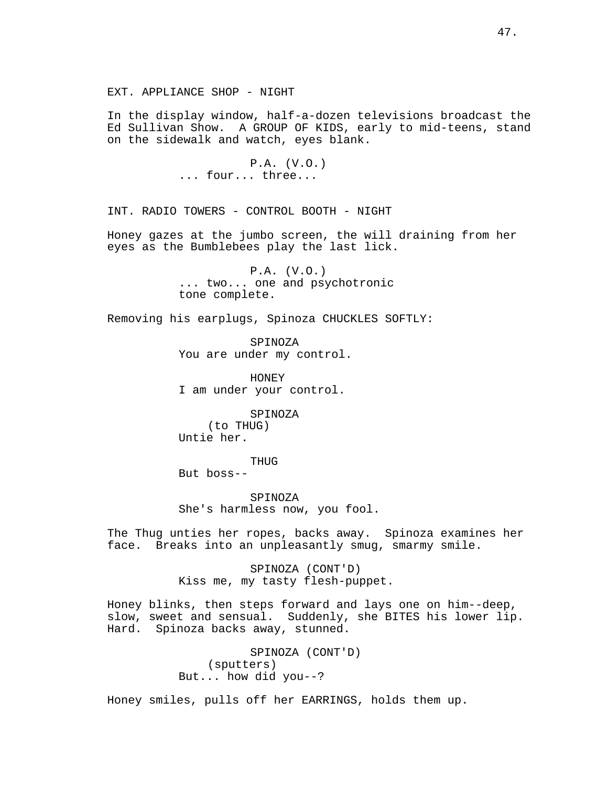In the display window, half-a-dozen televisions broadcast the Ed Sullivan Show. A GROUP OF KIDS, early to mid-teens, stand on the sidewalk and watch, eyes blank.

> P.A. (V.O.) ... four... three...

INT. RADIO TOWERS - CONTROL BOOTH - NIGHT

Honey gazes at the jumbo screen, the will draining from her eyes as the Bumblebees play the last lick.

> P.A. (V.O.) ... two... one and psychotronic tone complete.

Removing his earplugs, Spinoza CHUCKLES SOFTLY:

SPINOZA You are under my control.

HONEY I am under your control.

SPINOZA (to THUG) Untie her.

THUG

But boss--

SPINOZA She's harmless now, you fool.

The Thug unties her ropes, backs away. Spinoza examines her face. Breaks into an unpleasantly smug, smarmy smile.

> SPINOZA (CONT'D) Kiss me, my tasty flesh-puppet.

Honey blinks, then steps forward and lays one on him--deep, slow, sweet and sensual. Suddenly, she BITES his lower lip. Hard. Spinoza backs away, stunned.

> SPINOZA (CONT'D) (sputters) But... how did you--?

Honey smiles, pulls off her EARRINGS, holds them up.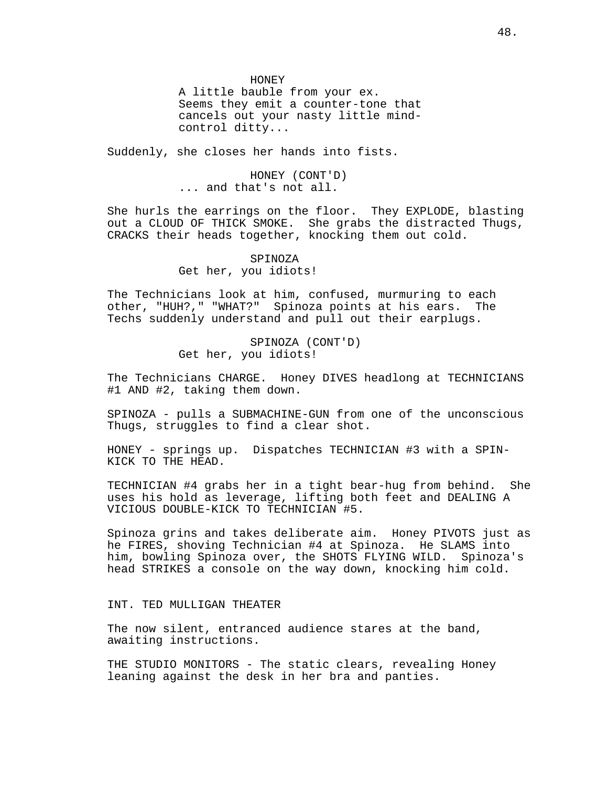HONEY

A little bauble from your ex. Seems they emit a counter-tone that cancels out your nasty little mindcontrol ditty...

Suddenly, she closes her hands into fists.

HONEY (CONT'D) ... and that's not all.

She hurls the earrings on the floor. They EXPLODE, blasting out a CLOUD OF THICK SMOKE. She grabs the distracted Thugs, CRACKS their heads together, knocking them out cold.

> SPINOZA Get her, you idiots!

The Technicians look at him, confused, murmuring to each other, "HUH?," "WHAT?" Spinoza points at his ears. The Techs suddenly understand and pull out their earplugs.

> SPINOZA (CONT'D) Get her, you idiots!

The Technicians CHARGE. Honey DIVES headlong at TECHNICIANS #1 AND #2, taking them down.

SPINOZA - pulls a SUBMACHINE-GUN from one of the unconscious Thugs, struggles to find a clear shot.

HONEY - springs up. Dispatches TECHNICIAN #3 with a SPIN-KICK TO THE HEAD.

TECHNICIAN #4 grabs her in a tight bear-hug from behind. She uses his hold as leverage, lifting both feet and DEALING A VICIOUS DOUBLE-KICK TO TECHNICIAN #5.

Spinoza grins and takes deliberate aim. Honey PIVOTS just as he FIRES, shoving Technician #4 at Spinoza. He SLAMS into him, bowling Spinoza over, the SHOTS FLYING WILD. Spinoza's head STRIKES a console on the way down, knocking him cold.

INT. TED MULLIGAN THEATER

The now silent, entranced audience stares at the band, awaiting instructions.

THE STUDIO MONITORS - The static clears, revealing Honey leaning against the desk in her bra and panties.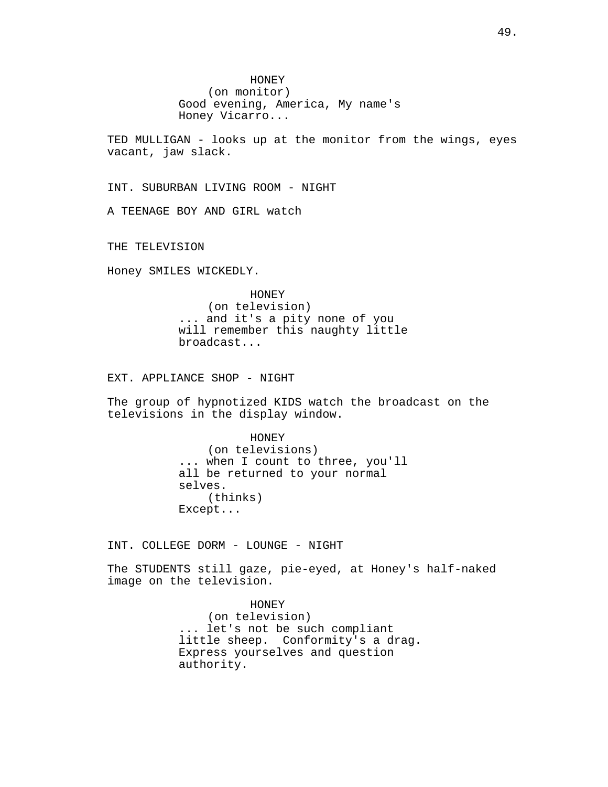HONEY (on monitor) Good evening, America, My name's Honey Vicarro...

TED MULLIGAN - looks up at the monitor from the wings, eyes vacant, jaw slack.

INT. SUBURBAN LIVING ROOM - NIGHT

A TEENAGE BOY AND GIRL watch

THE TELEVISION

Honey SMILES WICKEDLY.

HONEY (on television) ... and it's a pity none of you will remember this naughty little broadcast...

EXT. APPLIANCE SHOP - NIGHT

The group of hypnotized KIDS watch the broadcast on the televisions in the display window.

> HONEY (on televisions) ... when I count to three, you'll all be returned to your normal selves. (thinks) Except...

INT. COLLEGE DORM - LOUNGE - NIGHT

The STUDENTS still gaze, pie-eyed, at Honey's half-naked image on the television.

> HONEY (on television) ... let's not be such compliant little sheep. Conformity's a drag. Express yourselves and question authority.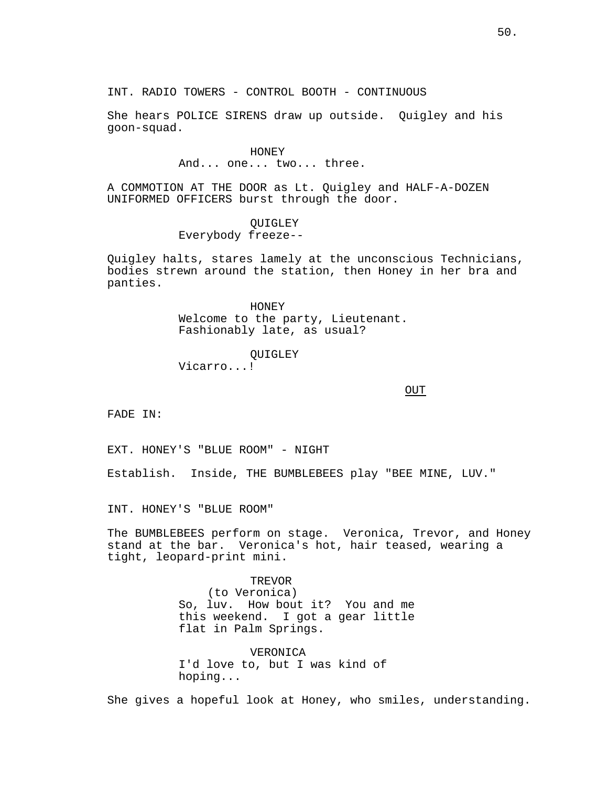She hears POLICE SIRENS draw up outside. Quigley and his goon-squad.

# HONEY And... one... two... three.

A COMMOTION AT THE DOOR as Lt. Quigley and HALF-A-DOZEN UNIFORMED OFFICERS burst through the door.

# **OUIGLEY** Everybody freeze--

Quigley halts, stares lamely at the unconscious Technicians, bodies strewn around the station, then Honey in her bra and panties.

> HONEY Welcome to the party, Lieutenant. Fashionably late, as usual?

> > QUIGLEY

Vicarro...!

OUT

FADE IN:

EXT. HONEY'S "BLUE ROOM" - NIGHT

Establish. Inside, THE BUMBLEBEES play "BEE MINE, LUV."

INT. HONEY'S "BLUE ROOM"

The BUMBLEBEES perform on stage. Veronica, Trevor, and Honey stand at the bar. Veronica's hot, hair teased, wearing a tight, leopard-print mini.

> TREVOR (to Veronica) So, luv. How bout it? You and me this weekend. I got a gear little flat in Palm Springs.

VERONICA I'd love to, but I was kind of hoping...

She gives a hopeful look at Honey, who smiles, understanding.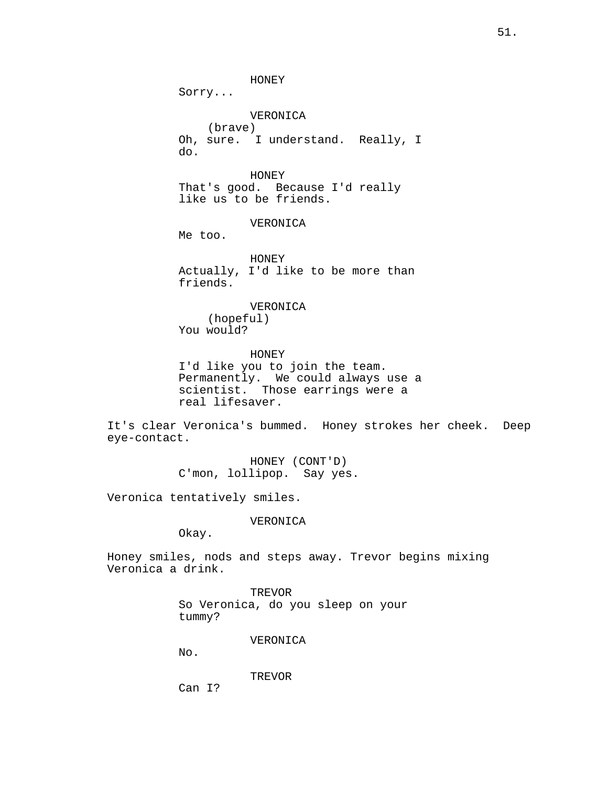HONEY

Sorry...

VERONICA

(brave) Oh, sure. I understand. Really, I do.

HONEY That's good. Because I'd really like us to be friends.

VERONICA

Me too.

HONEY Actually, I'd like to be more than friends.

VERONICA (hopeful) You would?

HONEY I'd like you to join the team. Permanently. We could always use a scientist. Those earrings were a real lifesaver.

It's clear Veronica's bummed. Honey strokes her cheek. Deep eye-contact.

> HONEY (CONT'D) C'mon, lollipop. Say yes.

Veronica tentatively smiles.

VERONICA

Okay.

Honey smiles, nods and steps away. Trevor begins mixing Veronica a drink.

> TREVOR So Veronica, do you sleep on your tummy?

> > VERONICA

No.

TREVOR

Can I?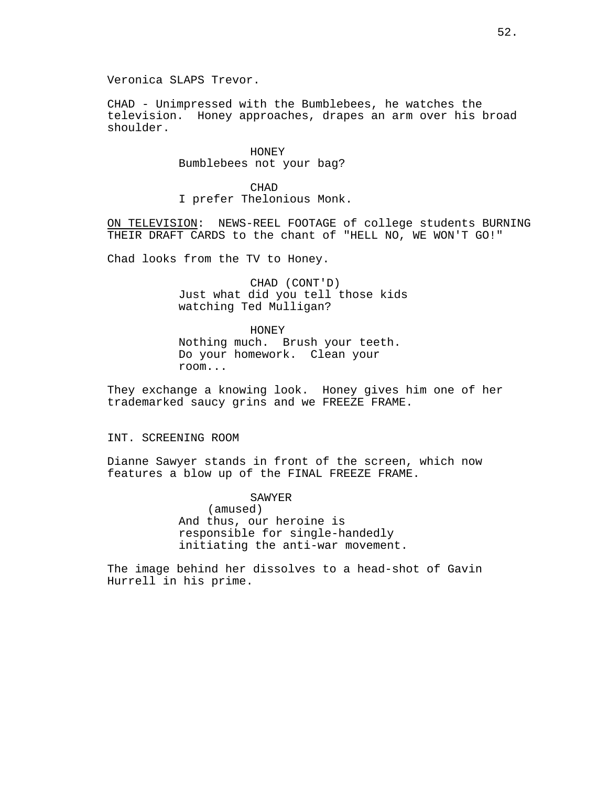Veronica SLAPS Trevor.

CHAD - Unimpressed with the Bumblebees, he watches the television. Honey approaches, drapes an arm over his broad shoulder.

> HONEY Bumblebees not your bag?

CHAD I prefer Thelonious Monk.

ON TELEVISION: NEWS-REEL FOOTAGE of college students BURNING THEIR DRAFT CARDS to the chant of "HELL NO, WE WON'T GO!"

Chad looks from the TV to Honey.

CHAD (CONT'D) Just what did you tell those kids watching Ted Mulligan?

HONEY Nothing much. Brush your teeth. Do your homework. Clean your room...

They exchange a knowing look. Honey gives him one of her trademarked saucy grins and we FREEZE FRAME.

# INT. SCREENING ROOM

Dianne Sawyer stands in front of the screen, which now features a blow up of the FINAL FREEZE FRAME.

SAWYER

(amused) And thus, our heroine is responsible for single-handedly initiating the anti-war movement.

The image behind her dissolves to a head-shot of Gavin Hurrell in his prime.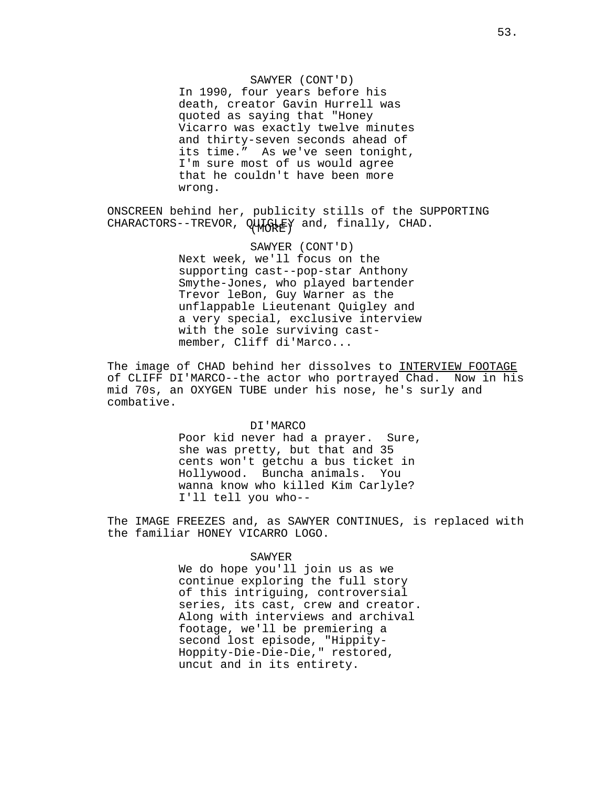In 1990, four years before his death, creator Gavin Hurrell was quoted as saying that "Honey Vicarro was exactly twelve minutes and thirty-seven seconds ahead of its time." As we've seen tonight, I'm sure most of us would agree that he couldn't have been more wrong.

CHARACTORS--TREVOR, QUIGHEY and, finally, CHAD. ONSCREEN behind her, publicity stills of the SUPPORTING

> SAWYER (CONT'D) Next week, we'll focus on the supporting cast--pop-star Anthony Smythe-Jones, who played bartender Trevor leBon, Guy Warner as the unflappable Lieutenant Quigley and a very special, exclusive interview with the sole surviving castmember, Cliff di'Marco...

The image of CHAD behind her dissolves to INTERVIEW FOOTAGE of CLIFF DI'MARCO--the actor who portrayed Chad. Now in his mid 70s, an OXYGEN TUBE under his nose, he's surly and combative.

#### DI'MARCO

Poor kid never had a prayer. Sure, she was pretty, but that and 35 cents won't getchu a bus ticket in Hollywood. Buncha animals. You wanna know who killed Kim Carlyle? I'll tell you who--

The IMAGE FREEZES and, as SAWYER CONTINUES, is replaced with the familiar HONEY VICARRO LOGO.

#### SAWYER

We do hope you'll join us as we continue exploring the full story of this intriguing, controversial series, its cast, crew and creator. Along with interviews and archival footage, we'll be premiering a second lost episode, "Hippity-Hoppity-Die-Die-Die," restored, uncut and in its entirety.